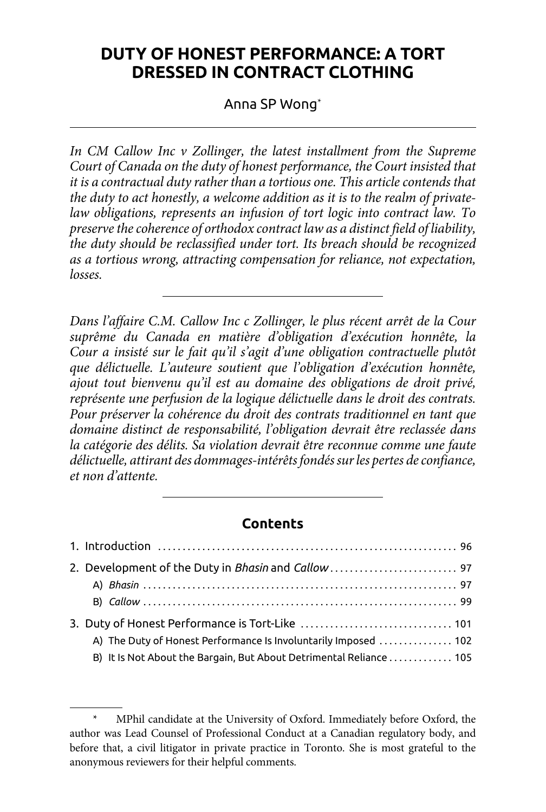# **DUTY OF HONEST PERFORMANCE: A TORT DRESSED IN CONTRACT CLOTHING**

Anna SP Wong\*

In CM Callow Inc *v* Zollinger, the latest installment from the Supreme *Court of Canada on the duty of honest performance, the Court insisted that it is a contractual duty rather than a tortious one. This article contends that the duty to act honestly, a welcome addition as it is to the realm of privatelaw obligations, represents an infusion of tort logic into contract law. To preserve the coherence of orthodox contract law as a distinct field of liability, the duty should be reclassified under tort. Its breach should be recognized as a tortious wrong, attracting compensation for reliance, not expectation, losses.* 

*Dans l'affaire C.M. Callow Inc c Zollinger, le plus récent arrêt de la Cour suprême du Canada en matière d'obligation d'exécution honnête, la Cour a insisté sur le fait qu'il s'agit d'une obligation contractuelle plutôt que délictuelle. L'auteure soutient que l'obligation d'exécution honnête, ajout tout bienvenu qu'il est au domaine des obligations de droit privé, représente une perfusion de la logique délictuelle dans le droit des contrats. Pour préserver la cohérence du droit des contrats traditionnel en tant que domaine distinct de responsabilité, l'obligation devrait être reclassée dans la catégorie des délits. Sa violation devrait être reconnue comme une faute délictuelle, attirant des dommages-intérêts fondés sur les pertes de confiance, et non d'attente.*

## **Contents**

| 2. Development of the Duty in Bhasin and Callow  97                 |  |
|---------------------------------------------------------------------|--|
|                                                                     |  |
|                                                                     |  |
|                                                                     |  |
| A) The Duty of Honest Performance Is Involuntarily Imposed  102     |  |
| B) It Is Not About the Bargain, But About Detrimental Reliance  105 |  |

MPhil candidate at the University of Oxford. Immediately before Oxford, the author was Lead Counsel of Professional Conduct at a Canadian regulatory body, and before that, a civil litigator in private practice in Toronto. She is most grateful to the anonymous reviewers for their helpful comments.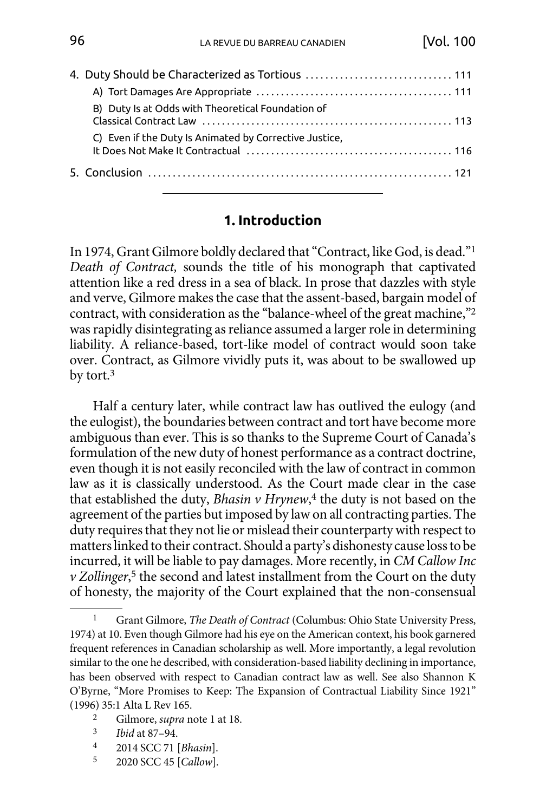<span id="page-1-0"></span>

|  | 4. Duty Should be Characterized as Tortious  111                                                                                                                        |  |
|--|-------------------------------------------------------------------------------------------------------------------------------------------------------------------------|--|
|  |                                                                                                                                                                         |  |
|  | B) Duty Is at Odds with Theoretical Foundation of                                                                                                                       |  |
|  | C) Even if the Duty Is Animated by Corrective Justice.<br>It Does Not Make It Contractual (1) (1) The University Contract Only 100 (1) The Does Not Make It Contractual |  |
|  |                                                                                                                                                                         |  |

#### **1. Introduction**

In 1974, Grant Gilmore boldly declared that "Contract, like God, is dead."1 *Death of Contract,* sounds the title of his monograph that captivated attention like a red dress in a sea of black. In prose that dazzles with style and verve, Gilmore makes the case that the assent-based, bargain model of contract, with consideration as the "balance-wheel of the great machine,"2 was rapidly disintegrating as reliance assumed a larger role in determining liability. A reliance-based, tort-like model of contract would soon take over. Contract, as Gilmore vividly puts it, was about to be swallowed up by tort.3

Half a century later, while contract law has outlived the eulogy (and the eulogist), the boundaries between contract and tort have become more ambiguous than ever. This is so thanks to the Supreme Court of Canada's formulation of the new duty of honest performance as a contract doctrine, even though it is not easily reconciled with the law of contract in common law as it is classically understood. As the Court made clear in the case that established the duty, *Bhasin v Hrynew*, 4 the duty is not based on the agreement of the parties but imposed by law on all contracting parties. The duty requires that they not lie or mislead their counterparty with respect to matters linked to their contract. Should a party's dishonesty cause loss to be incurred, it will be liable to pay damages. More recently, in *CM Callow Inc v Zollinger*, 5 the second and latest installment from the Court on the duty of honesty, the majority of the Court explained that the non-consensual

- 
- 3 *Ibid* at 87–94.
- 4 2014 SCC 71 [*Bhasin*].
- 5 2020 SCC 45 [*Callow*].

<sup>1</sup> Grant Gilmore, *The Death of Contract* (Columbus: Ohio State University Press, 1974) at 10. Even though Gilmore had his eye on the American context, his book garnered frequent references in Canadian scholarship as well. More importantly, a legal revolution similar to the one he described, with consideration-based liability declining in importance, has been observed with respect to Canadian contract law as well. See also Shannon K O'Byrne, "More Promises to Keep: The Expansion of Contractual Liability Since 1921" (1996) 35:1 Alta L Rev 165. 2 Gilmore, *supra* note 1 at 18.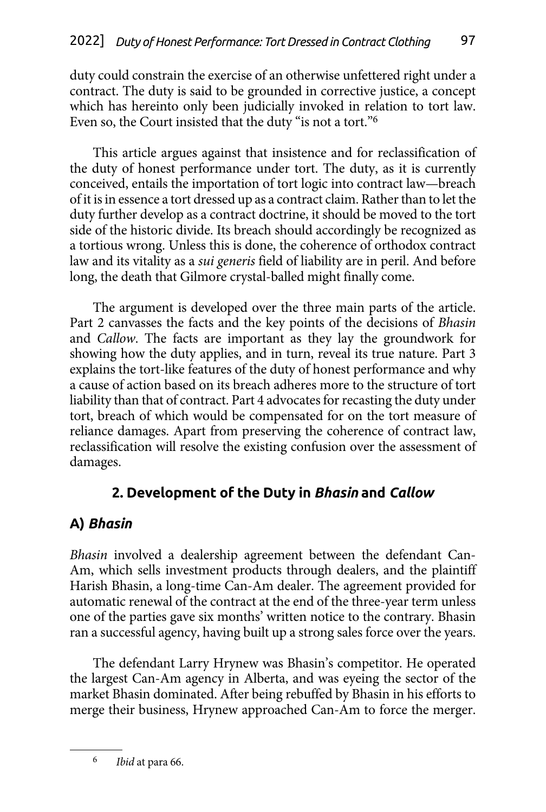<span id="page-2-0"></span>duty could constrain the exercise of an otherwise unfettered right under a contract. The duty is said to be grounded in corrective justice, a concept which has hereinto only been judicially invoked in relation to tort law. Even so, the Court insisted that the duty "is not a tort."6

This article argues against that insistence and for reclassification of the duty of honest performance under tort. The duty, as it is currently conceived, entails the importation of tort logic into contract law—breach of it is in essence a tort dressed up as a contract claim. Rather than to let the duty further develop as a contract doctrine, it should be moved to the tort side of the historic divide. Its breach should accordingly be recognized as a tortious wrong. Unless this is done, the coherence of orthodox contract law and its vitality as a *sui generis* field of liability are in peril. And before long, the death that Gilmore crystal-balled might finally come.

The argument is developed over the three main parts of the article. Part 2 canvasses the facts and the key points of the decisions of *Bhasin* and *Callow*. The facts are important as they lay the groundwork for showing how the duty applies, and in turn, reveal its true nature. Part 3 explains the tort-like features of the duty of honest performance and why a cause of action based on its breach adheres more to the structure of tort liability than that of contract. Part 4 advocates for recasting the duty under tort, breach of which would be compensated for on the tort measure of reliance damages. Apart from preserving the coherence of contract law, reclassification will resolve the existing confusion over the assessment of damages.

# **2. Development of the Duty in** *Bhasin* **and** *Callow*

# **A)** *Bhasin*

*Bhasin* involved a dealership agreement between the defendant Can-Am, which sells investment products through dealers, and the plaintiff Harish Bhasin, a long-time Can-Am dealer. The agreement provided for automatic renewal of the contract at the end of the three-year term unless one of the parties gave six months' written notice to the contrary. Bhasin ran a successful agency, having built up a strong sales force over the years.

The defendant Larry Hrynew was Bhasin's competitor. He operated the largest Can-Am agency in Alberta, and was eyeing the sector of the market Bhasin dominated. After being rebuffed by Bhasin in his efforts to merge their business, Hrynew approached Can-Am to force the merger.

6 *Ibid* at para 66.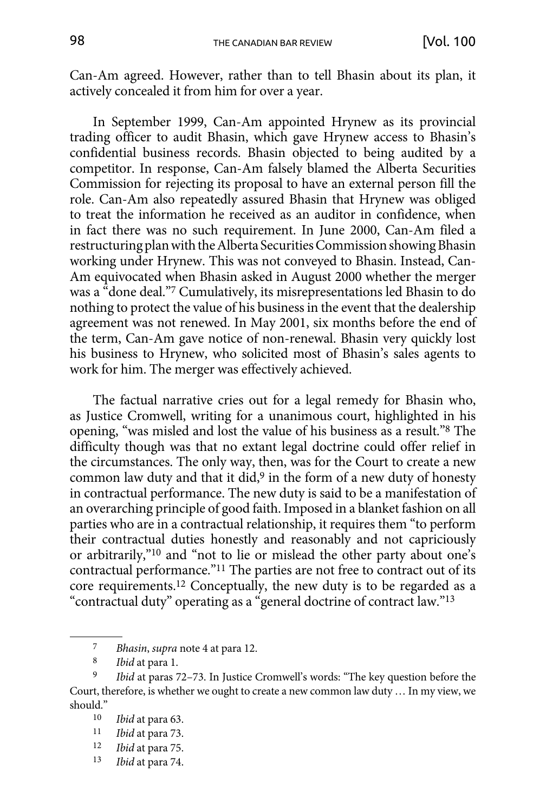Can-Am agreed. However, rather than to tell Bhasin about its plan, it actively concealed it from him for over a year.

In September 1999, Can-Am appointed Hrynew as its provincial trading officer to audit Bhasin, which gave Hrynew access to Bhasin's confidential business records. Bhasin objected to being audited by a competitor. In response, Can-Am falsely blamed the Alberta Securities Commission for rejecting its proposal to have an external person fill the role. Can-Am also repeatedly assured Bhasin that Hrynew was obliged to treat the information he received as an auditor in confidence, when in fact there was no such requirement. In June 2000, Can-Am filed a restructuring plan with the Alberta Securities Commission showing Bhasin working under Hrynew. This was not conveyed to Bhasin. Instead, Can-Am equivocated when Bhasin asked in August 2000 whether the merger was a "done deal."7 Cumulatively, its misrepresentations led Bhasin to do nothing to protect the value of his business in the event that the dealership agreement was not renewed. In May 2001, six months before the end of the term, Can-Am gave notice of non-renewal. Bhasin very quickly lost his business to Hrynew, who solicited most of Bhasin's sales agents to work for him. The merger was effectively achieved.

The factual narrative cries out for a legal remedy for Bhasin who, as Justice Cromwell, writing for a unanimous court, highlighted in his opening, "was misled and lost the value of his business as a result."8 The difficulty though was that no extant legal doctrine could offer relief in the circumstances. The only way, then, was for the Court to create a new common law duty and that it did,<sup>9</sup> in the form of a new duty of honesty in contractual performance. The new duty is said to be a manifestation of an overarching principle of good faith. Imposed in a blanket fashion on all parties who are in a contractual relationship, it requires them "to perform their contractual duties honestly and reasonably and not capriciously or arbitrarily,"10 and "not to lie or mislead the other party about one's contractual performance."11 The parties are not free to contract out of its core requirements.12 Conceptually, the new duty is to be regarded as a "contractual duty" operating as a "general doctrine of contract law."13

- 12 *Ibid* at para 75.
- 13 *Ibid* at para 74.

<sup>7</sup> *Bhasin*, *supra* note 4 at para 12.

<sup>8</sup> *Ibid* at para 1.

<sup>9</sup> *Ibid* at paras 72–73. In Justice Cromwell's words: "The key question before the Court, therefore, is whether we ought to create a new common law duty … In my view, we should."  $_{10}$ 

<sup>10</sup> *Ibid* at para 63.

<sup>11</sup> *Ibid* at para 73.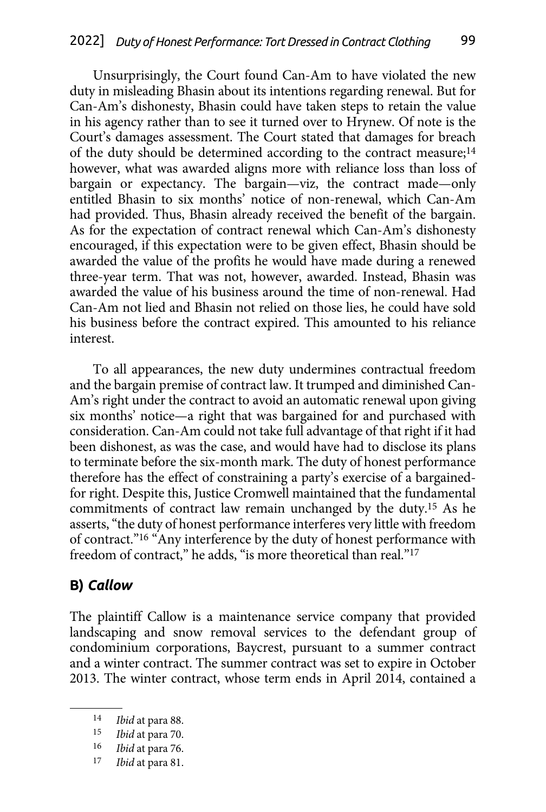<span id="page-4-0"></span>Unsurprisingly, the Court found Can-Am to have violated the new duty in misleading Bhasin about its intentions regarding renewal. But for Can-Am's dishonesty, Bhasin could have taken steps to retain the value in his agency rather than to see it turned over to Hrynew. Of note is the Court's damages assessment. The Court stated that damages for breach of the duty should be determined according to the contract measure;<sup>14</sup> however, what was awarded aligns more with reliance loss than loss of bargain or expectancy. The bargain—viz, the contract made—only entitled Bhasin to six months' notice of non-renewal, which Can-Am had provided. Thus, Bhasin already received the benefit of the bargain. As for the expectation of contract renewal which Can-Am's dishonesty encouraged, if this expectation were to be given effect, Bhasin should be awarded the value of the profits he would have made during a renewed three-year term. That was not, however, awarded. Instead, Bhasin was awarded the value of his business around the time of non-renewal. Had Can-Am not lied and Bhasin not relied on those lies, he could have sold his business before the contract expired. This amounted to his reliance interest.

To all appearances, the new duty undermines contractual freedom and the bargain premise of contract law. It trumped and diminished Can-Am's right under the contract to avoid an automatic renewal upon giving six months' notice—a right that was bargained for and purchased with consideration. Can-Am could not take full advantage of that right if it had been dishonest, as was the case, and would have had to disclose its plans to terminate before the six-month mark. The duty of honest performance therefore has the effect of constraining a party's exercise of a bargainedfor right. Despite this, Justice Cromwell maintained that the fundamental commitments of contract law remain unchanged by the duty.15 As he asserts, "the duty of honest performance interferes very little with freedom of contract."16 "Any interference by the duty of honest performance with freedom of contract," he adds, "is more theoretical than real."<sup>17</sup>

#### **B)** *Callow*

The plaintiff Callow is a maintenance service company that provided landscaping and snow removal services to the defendant group of condominium corporations, Baycrest, pursuant to a summer contract and a winter contract. The summer contract was set to expire in October 2013. The winter contract, whose term ends in April 2014, contained a

<sup>14</sup> *Ibid* at para 88.

<sup>15</sup> *Ibid* at para 70.

<sup>16</sup> *Ibid* at para 76.

<sup>17</sup> *Ibid* at para 81.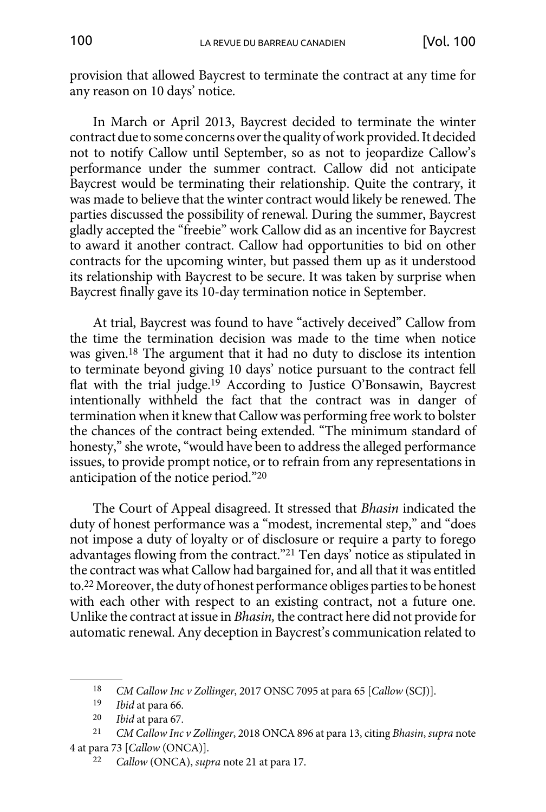provision that allowed Baycrest to terminate the contract at any time for any reason on 10 days' notice.

In March or April 2013, Baycrest decided to terminate the winter contract due to some concerns over the quality of work provided. It decided not to notify Callow until September, so as not to jeopardize Callow's performance under the summer contract. Callow did not anticipate Baycrest would be terminating their relationship. Quite the contrary, it was made to believe that the winter contract would likely be renewed. The parties discussed the possibility of renewal. During the summer, Baycrest gladly accepted the "freebie" work Callow did as an incentive for Baycrest to award it another contract. Callow had opportunities to bid on other contracts for the upcoming winter, but passed them up as it understood its relationship with Baycrest to be secure. It was taken by surprise when Baycrest finally gave its 10-day termination notice in September.

At trial, Baycrest was found to have "actively deceived" Callow from the time the termination decision was made to the time when notice was given.18 The argument that it had no duty to disclose its intention to terminate beyond giving 10 days' notice pursuant to the contract fell flat with the trial judge.19 According to Justice O'Bonsawin, Baycrest intentionally withheld the fact that the contract was in danger of termination when it knew that Callow was performing free work to bolster the chances of the contract being extended. "The minimum standard of honesty," she wrote, "would have been to address the alleged performance issues, to provide prompt notice, or to refrain from any representations in anticipation of the notice period."20

The Court of Appeal disagreed. It stressed that *Bhasin* indicated the duty of honest performance was a "modest, incremental step," and "does not impose a duty of loyalty or of disclosure or require a party to forego advantages flowing from the contract."21 Ten days' notice as stipulated in the contract was what Callow had bargained for, and all that it was entitled to.22 Moreover, the duty of honest performance obliges parties to be honest with each other with respect to an existing contract, not a future one. Unlike the contract at issue in *Bhasin,* the contract here did not provide for automatic renewal. Any deception in Baycrest's communication related to

<sup>18</sup> *CM Callow Inc v Zollinger*, 2017 ONSC 7095 at para 65 [*Callow* (SCJ)].

<sup>19</sup> *Ibid* at para 66.

<sup>20</sup> *Ibid* at para 67. 21 *CM Callow Inc v Zollinger*, 2018 ONCA 896 at para 13, citing *Bhasin*, *supra* note 4 at para 73 [*Callow* (ONCA)].

<sup>22</sup> *Callow* (ONCA), *supra* note 21 at para 17.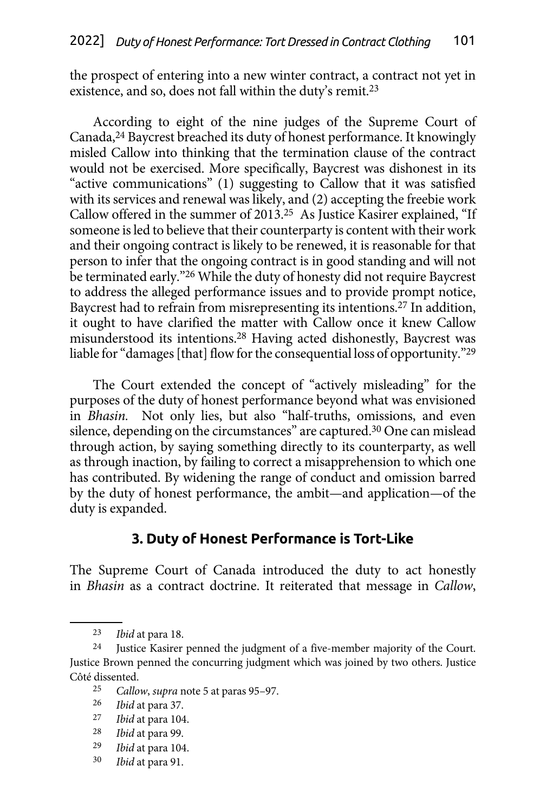<span id="page-6-0"></span>the prospect of entering into a new winter contract, a contract not yet in existence, and so, does not fall within the duty's remit.<sup>23</sup>

According to eight of the nine judges of the Supreme Court of Canada,24 Baycrest breached its duty of honest performance. It knowingly misled Callow into thinking that the termination clause of the contract would not be exercised. More specifically, Baycrest was dishonest in its "active communications" (1) suggesting to Callow that it was satisfied with its services and renewal was likely, and (2) accepting the freebie work Callow offered in the summer of 2013.25 As Justice Kasirer explained, "If someone is led to believe that their counterparty is content with their work and their ongoing contract is likely to be renewed, it is reasonable for that person to infer that the ongoing contract is in good standing and will not be terminated early."26 While the duty of honesty did not require Baycrest to address the alleged performance issues and to provide prompt notice, Baycrest had to refrain from misrepresenting its intentions.27 In addition, it ought to have clarified the matter with Callow once it knew Callow misunderstood its intentions.28 Having acted dishonestly, Baycrest was liable for "damages [that] flow for the consequential loss of opportunity."29

The Court extended the concept of "actively misleading" for the purposes of the duty of honest performance beyond what was envisioned in *Bhasin.* Not only lies, but also "half-truths, omissions, and even silence, depending on the circumstances" are captured.<sup>30</sup> One can mislead through action, by saying something directly to its counterparty, as well as through inaction, by failing to correct a misapprehension to which one has contributed. By widening the range of conduct and omission barred by the duty of honest performance, the ambit—and application—of the duty is expanded.

### **3. Duty of Honest Performance is Tort-Like**

The Supreme Court of Canada introduced the duty to act honestly in *Bhasin* as a contract doctrine. It reiterated that message in *Callow*,

- 29 *Ibid* at para 104.
- 30 *Ibid* at para 91.

<sup>23</sup> *Ibid* at para 18.

<sup>24</sup> Justice Kasirer penned the judgment of a five-member majority of the Court. Justice Brown penned the concurring judgment which was joined by two others. Justice Côté dissented.

<sup>25</sup> *Callow*, *supra* note 5 at paras 95–97.

<sup>26</sup> *Ibid* at para 37.

<sup>27</sup> *Ibid* at para 104.

<sup>28</sup> *Ibid* at para 99.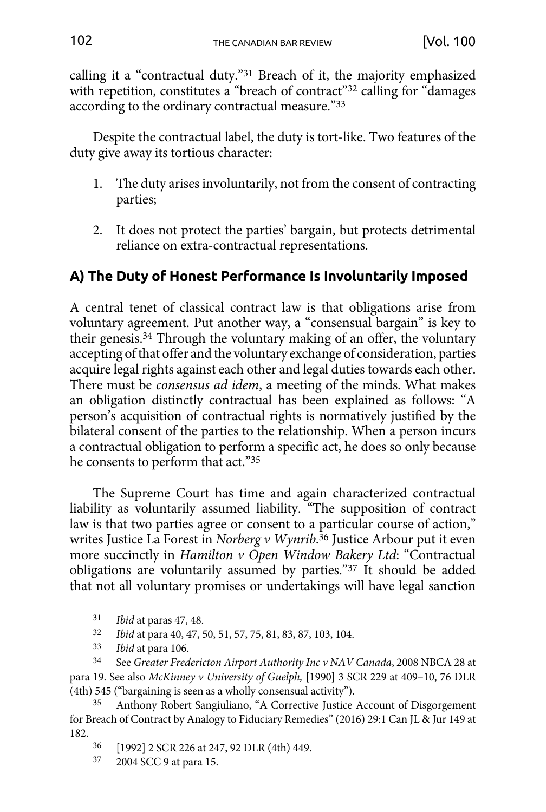<span id="page-7-0"></span>calling it a "contractual duty."31 Breach of it, the majority emphasized with repetition, constitutes a "breach of contract"<sup>32</sup> calling for "damages according to the ordinary contractual measure."33

Despite the contractual label, the duty is tort-like. Two features of the duty give away its tortious character:

- 1. The duty arises involuntarily, not from the consent of contracting parties;
- 2. It does not protect the parties' bargain, but protects detrimental reliance on extra-contractual representations.

# **A) The Duty of Honest Performance Is Involuntarily Imposed**

A central tenet of classical contract law is that obligations arise from voluntary agreement. Put another way, a "consensual bargain" is key to their genesis.34 Through the voluntary making of an offer, the voluntary accepting of that offer and the voluntary exchange of consideration, parties acquire legal rights against each other and legal duties towards each other. There must be *consensus ad idem*, a meeting of the minds. What makes an obligation distinctly contractual has been explained as follows: "A person's acquisition of contractual rights is normatively justified by the bilateral consent of the parties to the relationship. When a person incurs a contractual obligation to perform a specific act, he does so only because he consents to perform that act."35

The Supreme Court has time and again characterized contractual liability as voluntarily assumed liability. "The supposition of contract law is that two parties agree or consent to a particular course of action," writes Justice La Forest in *Norberg v Wynrib*. 36 Justice Arbour put it even more succinctly in *Hamilton v Open Window Bakery Ltd*: "Contractual obligations are voluntarily assumed by parties."37 It should be added that not all voluntary promises or undertakings will have legal sanction

34 See *Greater Fredericton Airport Authority Inc v NAV Canada*, 2008 NBCA 28 at para 19. See also *McKinney v University of Guelph,* [1990] 3 SCR 229 at 409–10, 76 DLR (4th) 545 ("bargaining is seen as a wholly consensual activity").

37 2004 SCC 9 at para 15.

<sup>31</sup> *Ibid* at paras 47, 48.

<sup>32</sup> *Ibid* at para 40, 47, 50, 51, 57, 75, 81, 83, 87, 103, 104.

<sup>33</sup> *Ibid* at para 106.

<sup>35</sup> Anthony Robert Sangiuliano, "A Corrective Justice Account of Disgorgement for Breach of Contract by Analogy to Fiduciary Remedies" (2016) 29:1 Can JL & Jur 149 at 182.

<sup>36</sup> [1992] 2 SCR 226 at 247, 92 DLR (4th) 449.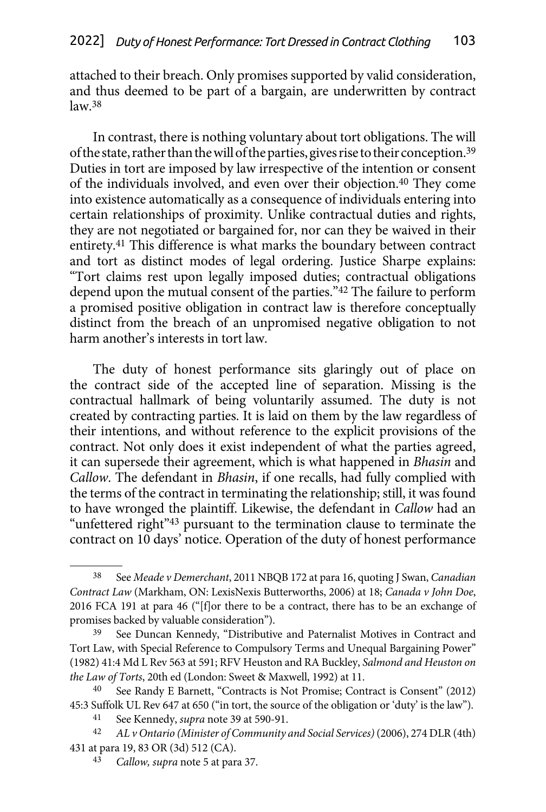attached to their breach. Only promises supported by valid consideration, and thus deemed to be part of a bargain, are underwritten by contract  $law<sup>38</sup>$ 

In contrast, there is nothing voluntary about tort obligations. The will of the state, rather than the will of the parties, gives rise to their conception.39 Duties in tort are imposed by law irrespective of the intention or consent of the individuals involved, and even over their objection.40 They come into existence automatically as a consequence of individuals entering into certain relationships of proximity. Unlike contractual duties and rights, they are not negotiated or bargained for, nor can they be waived in their entirety.41 This difference is what marks the boundary between contract and tort as distinct modes of legal ordering. Justice Sharpe explains: "Tort claims rest upon legally imposed duties; contractual obligations depend upon the mutual consent of the parties."42 The failure to perform a promised positive obligation in contract law is therefore conceptually distinct from the breach of an unpromised negative obligation to not harm another's interests in tort law.

The duty of honest performance sits glaringly out of place on the contract side of the accepted line of separation. Missing is the contractual hallmark of being voluntarily assumed. The duty is not created by contracting parties. It is laid on them by the law regardless of their intentions, and without reference to the explicit provisions of the contract. Not only does it exist independent of what the parties agreed, it can supersede their agreement, which is what happened in *Bhasin* and *Callow*. The defendant in *Bhasin*, if one recalls, had fully complied with the terms of the contract in terminating the relationship; still, it was found to have wronged the plaintiff. Likewise, the defendant in *Callow* had an "unfettered right"<sup>43</sup> pursuant to the termination clause to terminate the contract on 10 days' notice. Operation of the duty of honest performance

<sup>38</sup> See *Meade v Demerchant*, 2011 NBQB 172 at para 16, quoting J Swan, *Canadian Contract Law* (Markham, ON: LexisNexis Butterworths, 2006) at 18; *Canada v John Doe*, 2016 FCA 191 at para 46 ("[f]or there to be a contract, there has to be an exchange of promises backed by valuable consideration").

<sup>39</sup> See Duncan Kennedy, "Distributive and Paternalist Motives in Contract and Tort Law, with Special Reference to Compulsory Terms and Unequal Bargaining Power" (1982) 41:4 Md L Rev 563 at 591; RFV Heuston and RA Buckley, *Salmond and Heuston on the Law of Torts*, 20th ed (London: Sweet & Maxwell, 1992) at 11.

See Randy E Barnett, "Contracts is Not Promise; Contract is Consent" (2012) 45:3 Suffolk UL Rev 647 at 650 ("in tort, the source of the obligation or 'duty' is the law").

<sup>41</sup> See Kennedy, *supra* note 39 at 590-91.

<sup>42</sup> *AL v Ontario (Minister of Community and Social Services)* (2006), 274 DLR (4th) 431 at para 19, 83 OR (3d) 512 (CA).

<sup>43</sup> *Callow, supra* note 5 at para 37.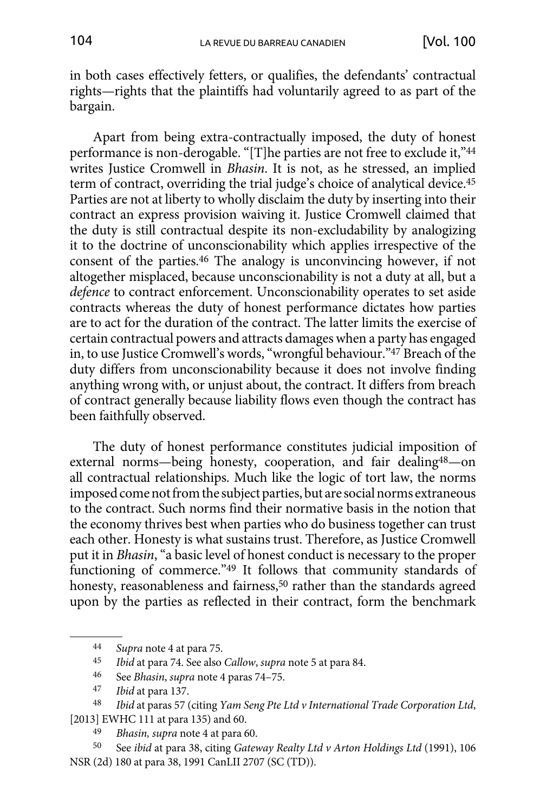in both cases effectively fetters, or qualifies, the defendants' contractual rights—rights that the plaintiffs had voluntarily agreed to as part of the bargain.

Apart from being extra-contractually imposed, the duty of honest performance is non-derogable. "[T]he parties are not free to exclude it,"44 writes Justice Cromwell in *Bhasin*. It is not, as he stressed, an implied term of contract, overriding the trial judge's choice of analytical device.45 Parties are not at liberty to wholly disclaim the duty by inserting into their contract an express provision waiving it. Justice Cromwell claimed that the duty is still contractual despite its non-excludability by analogizing it to the doctrine of unconscionability which applies irrespective of the consent of the parties.46 The analogy is unconvincing however, if not altogether misplaced, because unconscionability is not a duty at all, but a *defence* to contract enforcement. Unconscionability operates to set aside contracts whereas the duty of honest performance dictates how parties are to act for the duration of the contract. The latter limits the exercise of certain contractual powers and attracts damages when a party has engaged in, to use Justice Cromwell's words, "wrongful behaviour."47 Breach of the duty differs from unconscionability because it does not involve finding anything wrong with, or unjust about, the contract. It differs from breach of contract generally because liability flows even though the contract has been faithfully observed.

The duty of honest performance constitutes judicial imposition of external norms—being honesty, cooperation, and fair dealing48—on all contractual relationships. Much like the logic of tort law, the norms imposed come not from the subject parties, but are social norms extraneous to the contract. Such norms find their normative basis in the notion that the economy thrives best when parties who do business together can trust each other. Honesty is what sustains trust. Therefore, as Justice Cromwell put it in *Bhasin*, "a basic level of honest conduct is necessary to the proper functioning of commerce."49 It follows that community standards of honesty, reasonableness and fairness,<sup>50</sup> rather than the standards agreed upon by the parties as reflected in their contract, form the benchmark

50 See *ibid* at para 38, citing *Gateway Realty Ltd v Arton Holdings Ltd* (1991), 106 NSR (2d) 180 at para 38, 1991 CanLII 2707 (SC (TD)).

<sup>44</sup> *Supra* note 4 at para 75.<br>45 *Ibid* at para 74 See also

<sup>45</sup> *Ibid* at para 74. See also *Callow*, *supra* note 5 at para 84.

See *Bhasin*, *supra* note 4 paras 74-75.

<sup>47</sup> *Ibid* at para 137.

<sup>48</sup> *Ibid* at paras 57 (citing *Yam Seng Pte Ltd v International Trade Corporation Ltd*, [2013] EWHC 111 at para 135) and 60.

<sup>49</sup> *Bhasin, supra* note 4 at para 60.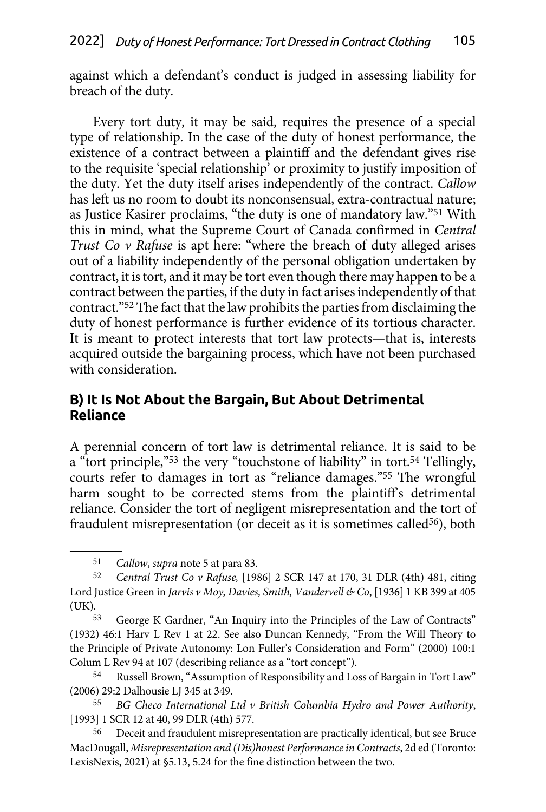<span id="page-10-0"></span>against which a defendant's conduct is judged in assessing liability for breach of the duty.

Every tort duty, it may be said, requires the presence of a special type of relationship. In the case of the duty of honest performance, the existence of a contract between a plaintiff and the defendant gives rise to the requisite 'special relationship' or proximity to justify imposition of the duty. Yet the duty itself arises independently of the contract. *Callow* has left us no room to doubt its nonconsensual, extra-contractual nature; as Justice Kasirer proclaims, "the duty is one of mandatory law."51 With this in mind, what the Supreme Court of Canada confirmed in *Central Trust Co v Rafuse* is apt here: "where the breach of duty alleged arises out of a liability independently of the personal obligation undertaken by contract, it is tort, and it may be tort even though there may happen to be a contract between the parties, if the duty in fact arises independently of that contract."52 The fact that the law prohibits the parties from disclaiming the duty of honest performance is further evidence of its tortious character. It is meant to protect interests that tort law protects—that is, interests acquired outside the bargaining process, which have not been purchased with consideration.

### **B) It Is Not About the Bargain, But About Detrimental Reliance**

A perennial concern of tort law is detrimental reliance. It is said to be a "tort principle,"53 the very "touchstone of liability" in tort.54 Tellingly, courts refer to damages in tort as "reliance damages."55 The wrongful harm sought to be corrected stems from the plaintiff's detrimental reliance. Consider the tort of negligent misrepresentation and the tort of fraudulent misrepresentation (or deceit as it is sometimes called<sup>56</sup>), both

<sup>51</sup> *Callow*, *supra* note 5 at para 83.

<sup>52</sup> *Central Trust Co v Rafuse,* [1986] 2 SCR 147 at 170, 31 DLR (4th) 481, citing Lord Justice Green in *Jarvis v Moy, Davies, Smith, Vandervell & Co*, [1936] 1 KB 399 at 405 (UK).

<sup>53</sup> George K Gardner, "An Inquiry into the Principles of the Law of Contracts" (1932) 46:1 Harv L Rev 1 at 22. See also Duncan Kennedy, "From the Will Theory to the Principle of Private Autonomy: Lon Fuller's Consideration and Form" (2000) 100:1 Colum L Rev 94 at 107 (describing reliance as a "tort concept").

<sup>54</sup> Russell Brown, "Assumption of Responsibility and Loss of Bargain in Tort Law" (2006) 29:2 Dalhousie LJ 345 at 349.

<sup>55</sup> *BG Checo International Ltd v British Columbia Hydro and Power Authority*, [1993] 1 SCR 12 at 40, 99 DLR (4th) 577.

<sup>56</sup> Deceit and fraudulent misrepresentation are practically identical, but see Bruce MacDougall, *Misrepresentation and (Dis)honest Performance in Contracts*, 2d ed (Toronto: LexisNexis, 2021) at §5.13, 5.24 for the fine distinction between the two.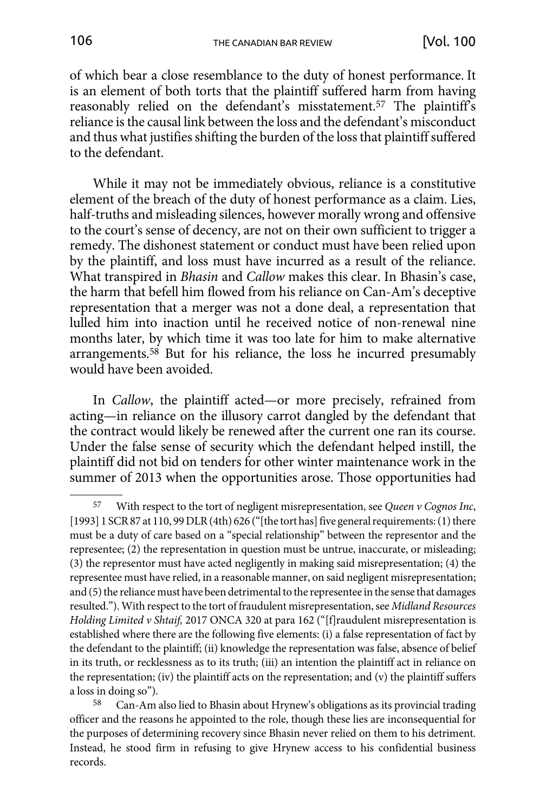of which bear a close resemblance to the duty of honest performance. It is an element of both torts that the plaintiff suffered harm from having reasonably relied on the defendant's misstatement.57 The plaintiff's reliance is the causal link between the loss and the defendant's misconduct and thus what justifies shifting the burden of the loss that plaintiff suffered to the defendant.

While it may not be immediately obvious, reliance is a constitutive element of the breach of the duty of honest performance as a claim. Lies, half-truths and misleading silences, however morally wrong and offensive to the court's sense of decency, are not on their own sufficient to trigger a remedy. The dishonest statement or conduct must have been relied upon by the plaintiff, and loss must have incurred as a result of the reliance. What transpired in *Bhasin* and *Callow* makes this clear. In Bhasin's case, the harm that befell him flowed from his reliance on Can-Am's deceptive representation that a merger was not a done deal, a representation that lulled him into inaction until he received notice of non-renewal nine months later, by which time it was too late for him to make alternative arrangements.<sup>58</sup> But for his reliance, the loss he incurred presumably would have been avoided.

In *Callow*, the plaintiff acted—or more precisely, refrained from acting—in reliance on the illusory carrot dangled by the defendant that the contract would likely be renewed after the current one ran its course. Under the false sense of security which the defendant helped instill, the plaintiff did not bid on tenders for other winter maintenance work in the summer of 2013 when the opportunities arose. Those opportunities had

<sup>57</sup> With respect to the tort of negligent misrepresentation, see *Queen v Cognos Inc*, [1993] 1 SCR 87 at 110, 99 DLR (4th) 626 ("[the tort has] five general requirements: (1) there must be a duty of care based on a "special relationship" between the representor and the representee; (2) the representation in question must be untrue, inaccurate, or misleading; (3) the representor must have acted negligently in making said misrepresentation; (4) the representee must have relied, in a reasonable manner, on said negligent misrepresentation; and (5) the reliance must have been detrimental to the representee in the sense that damages resulted."). With respect to the tort of fraudulent misrepresentation, see *Midland Resources Holding Limited v Shtaif,* 2017 ONCA 320 at para 162 ("[f]raudulent misrepresentation is established where there are the following five elements: (i) a false representation of fact by the defendant to the plaintiff; (ii) knowledge the representation was false, absence of belief in its truth, or recklessness as to its truth; (iii) an intention the plaintiff act in reliance on the representation; (iv) the plaintiff acts on the representation; and (v) the plaintiff suffers a loss in doing so").

<sup>58</sup> Can-Am also lied to Bhasin about Hrynew's obligations as its provincial trading officer and the reasons he appointed to the role, though these lies are inconsequential for the purposes of determining recovery since Bhasin never relied on them to his detriment. Instead, he stood firm in refusing to give Hrynew access to his confidential business records.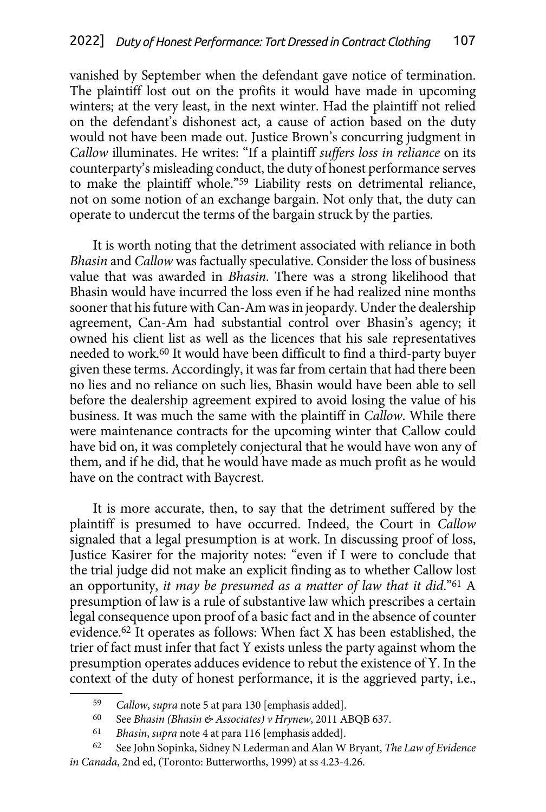vanished by September when the defendant gave notice of termination. The plaintiff lost out on the profits it would have made in upcoming winters; at the very least, in the next winter. Had the plaintiff not relied on the defendant's dishonest act, a cause of action based on the duty would not have been made out. Justice Brown's concurring judgment in *Callow* illuminates. He writes: "If a plaintiff *suffers loss in reliance* on its counterparty's misleading conduct, the duty of honest performance serves to make the plaintiff whole."59 Liability rests on detrimental reliance, not on some notion of an exchange bargain. Not only that, the duty can operate to undercut the terms of the bargain struck by the parties.

It is worth noting that the detriment associated with reliance in both *Bhasin* and *Callow* was factually speculative. Consider the loss of business value that was awarded in *Bhasin*. There was a strong likelihood that Bhasin would have incurred the loss even if he had realized nine months sooner that his future with Can-Am was in jeopardy. Under the dealership agreement, Can-Am had substantial control over Bhasin's agency; it owned his client list as well as the licences that his sale representatives needed to work.60 It would have been difficult to find a third-party buyer given these terms. Accordingly, it was far from certain that had there been no lies and no reliance on such lies, Bhasin would have been able to sell before the dealership agreement expired to avoid losing the value of his business. It was much the same with the plaintiff in *Callow*. While there were maintenance contracts for the upcoming winter that Callow could have bid on, it was completely conjectural that he would have won any of them, and if he did, that he would have made as much profit as he would have on the contract with Baycrest.

It is more accurate, then, to say that the detriment suffered by the plaintiff is presumed to have occurred. Indeed, the Court in *Callow* signaled that a legal presumption is at work. In discussing proof of loss, Justice Kasirer for the majority notes: "even if I were to conclude that the trial judge did not make an explicit finding as to whether Callow lost an opportunity, *it may be presumed as a matter of law that it did*."61 A presumption of law is a rule of substantive law which prescribes a certain legal consequence upon proof of a basic fact and in the absence of counter evidence.62 It operates as follows: When fact X has been established, the trier of fact must infer that fact Y exists unless the party against whom the presumption operates adduces evidence to rebut the existence of Y. In the context of the duty of honest performance, it is the aggrieved party, i.e.,

<sup>59</sup> *Callow*, *supra* note 5 at para 130 [emphasis added].

<sup>60</sup> See *Bhasin (Bhasin & Associates) v Hrynew*, 2011 ABQB 637.

<sup>61</sup> *Bhasin*, *supra* note 4 at para 116 [emphasis added].

<sup>62</sup> See John Sopinka, Sidney N Lederman and Alan W Bryant, *The Law of Evidence in Canada*, 2nd ed, (Toronto: Butterworths, 1999) at ss 4.23-4.26.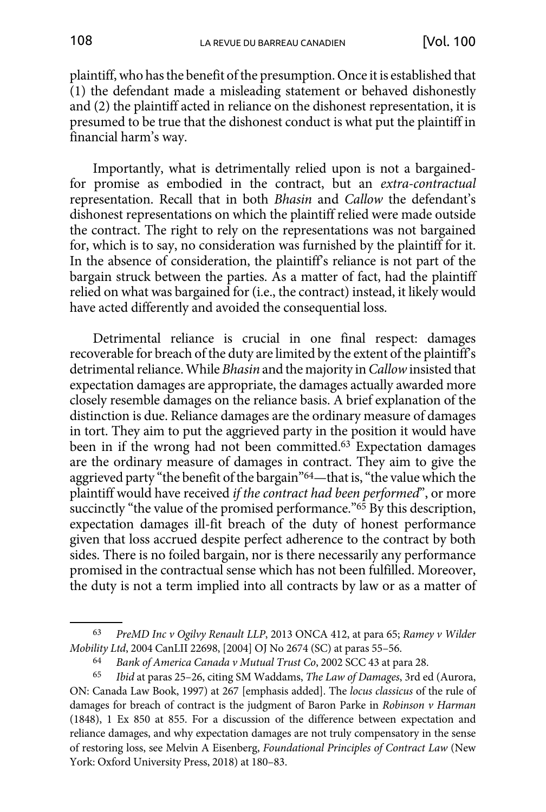plaintiff, who has the benefit of the presumption. Once it is established that (1) the defendant made a misleading statement or behaved dishonestly and (2) the plaintiff acted in reliance on the dishonest representation, it is presumed to be true that the dishonest conduct is what put the plaintiff in financial harm's way.

Importantly, what is detrimentally relied upon is not a bargainedfor promise as embodied in the contract, but an *extra-contractual*  representation. Recall that in both *Bhasin* and *Callow* the defendant's dishonest representations on which the plaintiff relied were made outside the contract. The right to rely on the representations was not bargained for, which is to say, no consideration was furnished by the plaintiff for it. In the absence of consideration, the plaintiff's reliance is not part of the bargain struck between the parties. As a matter of fact, had the plaintiff relied on what was bargained for (i.e., the contract) instead, it likely would have acted differently and avoided the consequential loss.

Detrimental reliance is crucial in one final respect: damages recoverable for breach of the duty are limited by the extent of the plaintiff's detrimental reliance. While *Bhasin* and the majority in *Callow* insisted that expectation damages are appropriate, the damages actually awarded more closely resemble damages on the reliance basis. A brief explanation of the distinction is due. Reliance damages are the ordinary measure of damages in tort. They aim to put the aggrieved party in the position it would have been in if the wrong had not been committed.63 Expectation damages are the ordinary measure of damages in contract. They aim to give the aggrieved party "the benefit of the bargain"64—that is, "the value which the plaintiff would have received *if the contract had been performed*", or more succinctly "the value of the promised performance."<sup>65</sup> By this description, expectation damages ill-fit breach of the duty of honest performance given that loss accrued despite perfect adherence to the contract by both sides. There is no foiled bargain, nor is there necessarily any performance promised in the contractual sense which has not been fulfilled. Moreover, the duty is not a term implied into all contracts by law or as a matter of

<sup>63</sup> *PreMD Inc v Ogilvy Renault LLP*, 2013 ONCA 412, at para 65; *Ramey v Wilder Mobility Ltd*, 2004 CanLII 22698, [2004] OJ No 2674 (SC) at paras 55–56.

<sup>64</sup> *Bank of America Canada v Mutual Trust Co*, 2002 SCC 43 at para 28.

<sup>65</sup> *Ibid* at paras 25–26, citing SM Waddams, *The Law of Damages*, 3rd ed (Aurora, ON: Canada Law Book, 1997) at 267 [emphasis added]. The *locus classicus* of the rule of damages for breach of contract is the judgment of Baron Parke in *Robinson v Harman* (1848), 1 Ex 850 at 855. For a discussion of the difference between expectation and reliance damages, and why expectation damages are not truly compensatory in the sense of restoring loss, see Melvin A Eisenberg, *Foundational Principles of Contract Law* (New York: Oxford University Press, 2018) at 180–83.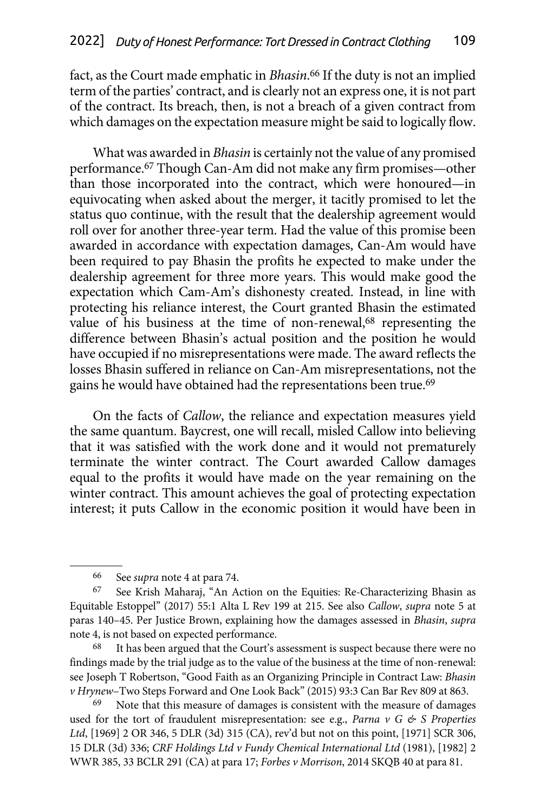fact, as the Court made emphatic in *Bhasin*. 66 If the duty is not an implied term of the parties' contract, and is clearly not an express one, it is not part of the contract. Its breach, then, is not a breach of a given contract from which damages on the expectation measure might be said to logically flow.

What was awarded in *Bhasin* is certainly not the value of any promised performance.67 Though Can-Am did not make any firm promises—other than those incorporated into the contract, which were honoured—in equivocating when asked about the merger, it tacitly promised to let the status quo continue, with the result that the dealership agreement would roll over for another three-year term. Had the value of this promise been awarded in accordance with expectation damages, Can-Am would have been required to pay Bhasin the profits he expected to make under the dealership agreement for three more years. This would make good the expectation which Cam-Am's dishonesty created. Instead, in line with protecting his reliance interest, the Court granted Bhasin the estimated value of his business at the time of non-renewal,<sup>68</sup> representing the difference between Bhasin's actual position and the position he would have occupied if no misrepresentations were made. The award reflects the losses Bhasin suffered in reliance on Can-Am misrepresentations, not the gains he would have obtained had the representations been true.69

On the facts of *Callow*, the reliance and expectation measures yield the same quantum. Baycrest, one will recall, misled Callow into believing that it was satisfied with the work done and it would not prematurely terminate the winter contract. The Court awarded Callow damages equal to the profits it would have made on the year remaining on the winter contract. This amount achieves the goal of protecting expectation interest; it puts Callow in the economic position it would have been in

68 It has been argued that the Court's assessment is suspect because there were no findings made by the trial judge as to the value of the business at the time of non-renewal: see Joseph T Robertson, "Good Faith as an Organizing Principle in Contract Law: *Bhasin v Hrynew*–Two Steps Forward and One Look Back" (2015) 93:3 Can Bar Rev 809 at 863.

Note that this measure of damages is consistent with the measure of damages used for the tort of fraudulent misrepresentation: see e.g., *Parna v G & S Properties Ltd*, [1969] 2 OR 346, 5 DLR (3d) 315 (CA), rev'd but not on this point, [1971] SCR 306, 15 DLR (3d) 336; *CRF Holdings Ltd v Fundy Chemical International Ltd* (1981), [1982] 2 WWR 385, 33 BCLR 291 (CA) at para 17; *Forbes v Morrison*, 2014 SKQB 40 at para 81.

<sup>66</sup> See *supra* note 4 at para 74.

<sup>67</sup> See Krish Maharaj, "An Action on the Equities: Re-Characterizing Bhasin as Equitable Estoppel" (2017) 55:1 Alta L Rev 199 at 215. See also *Callow*, *supra* note 5 at paras 140–45. Per Justice Brown, explaining how the damages assessed in *Bhasin*, *supra*  note 4, is not based on expected performance.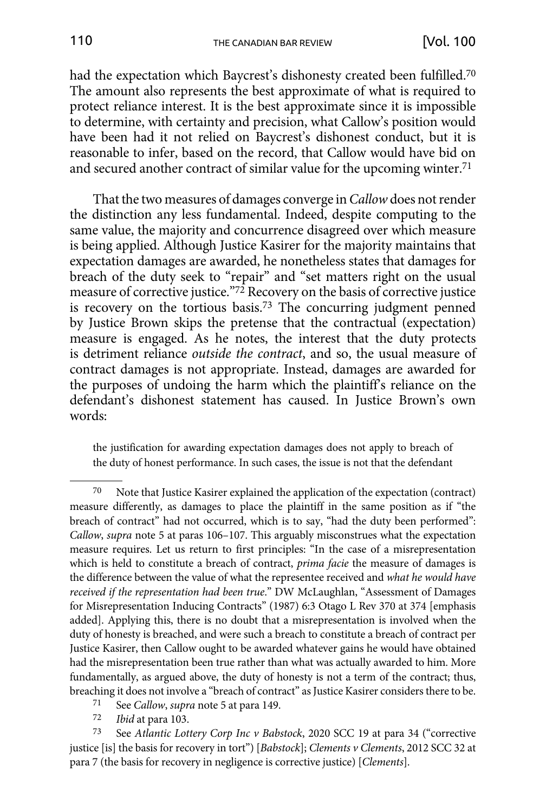had the expectation which Baycrest's dishonesty created been fulfilled.<sup>70</sup> The amount also represents the best approximate of what is required to protect reliance interest. It is the best approximate since it is impossible to determine, with certainty and precision, what Callow's position would have been had it not relied on Baycrest's dishonest conduct, but it is reasonable to infer, based on the record, that Callow would have bid on and secured another contract of similar value for the upcoming winter.71

That the two measures of damages converge in *Callow* does not render the distinction any less fundamental. Indeed, despite computing to the same value, the majority and concurrence disagreed over which measure is being applied. Although Justice Kasirer for the majority maintains that expectation damages are awarded, he nonetheless states that damages for breach of the duty seek to "repair" and "set matters right on the usual measure of corrective justice."72 Recovery on the basis of corrective justice is recovery on the tortious basis.73 The concurring judgment penned by Justice Brown skips the pretense that the contractual (expectation) measure is engaged. As he notes, the interest that the duty protects is detriment reliance *outside the contract*, and so, the usual measure of contract damages is not appropriate. Instead, damages are awarded for the purposes of undoing the harm which the plaintiff's reliance on the defendant's dishonest statement has caused. In Justice Brown's own words:

the justification for awarding expectation damages does not apply to breach of the duty of honest performance. In such cases, the issue is not that the defendant

Ibid at para 103.

73 See *Atlantic Lottery Corp Inc v Babstock*, 2020 SCC 19 at para 34 ("corrective justice [is] the basis for recovery in tort") [*Babstock*]; *Clements v Clements*, 2012 SCC 32 at para 7 (the basis for recovery in negligence is corrective justice) [*Clements*].

<sup>70</sup> Note that Justice Kasirer explained the application of the expectation (contract) measure differently, as damages to place the plaintiff in the same position as if "the breach of contract" had not occurred, which is to say, "had the duty been performed": *Callow*, *supra* note 5 at paras 106–107. This arguably misconstrues what the expectation measure requires. Let us return to first principles: "In the case of a misrepresentation which is held to constitute a breach of contract, *prima facie* the measure of damages is the difference between the value of what the representee received and *what he would have received if the representation had been true*." DW McLaughlan, "Assessment of Damages for Misrepresentation Inducing Contracts" (1987) 6:3 Otago L Rev 370 at 374 [emphasis added]. Applying this, there is no doubt that a misrepresentation is involved when the duty of honesty is breached, and were such a breach to constitute a breach of contract per Justice Kasirer, then Callow ought to be awarded whatever gains he would have obtained had the misrepresentation been true rather than what was actually awarded to him. More fundamentally, as argued above, the duty of honesty is not a term of the contract; thus, breaching it does not involve a "breach of contract" as Justice Kasirer considers there to be.

<sup>71</sup> See *Callow*, *supra* note 5 at para 149.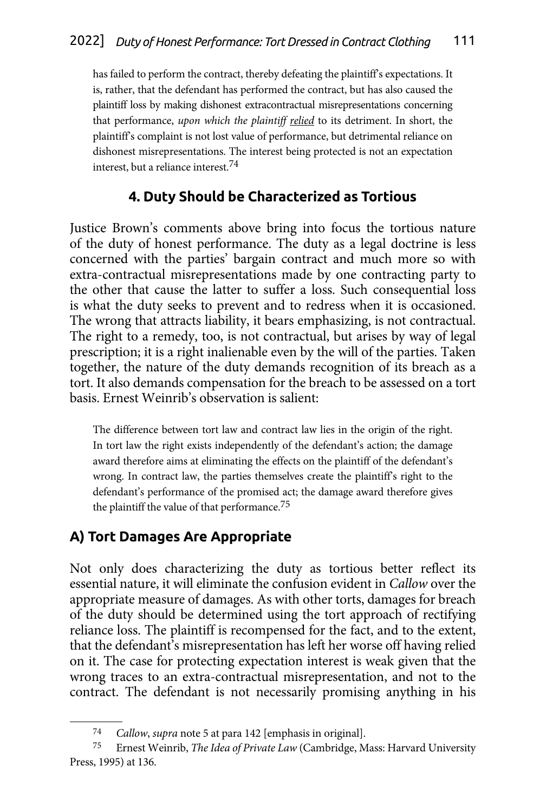<span id="page-16-0"></span>has failed to perform the contract, thereby defeating the plaintiff's expectations. It is, rather, that the defendant has performed the contract, but has also caused the plaintiff loss by making dishonest extracontractual misrepresentations concerning that performance, *upon which the plaintiff relied* to its detriment. In short, the plaintiff's complaint is not lost value of performance, but detrimental reliance on dishonest misrepresentations. The interest being protected is not an expectation interest, but a reliance interest.74

## **4. Duty Should be Characterized as Tortious**

Justice Brown's comments above bring into focus the tortious nature of the duty of honest performance. The duty as a legal doctrine is less concerned with the parties' bargain contract and much more so with extra-contractual misrepresentations made by one contracting party to the other that cause the latter to suffer a loss. Such consequential loss is what the duty seeks to prevent and to redress when it is occasioned. The wrong that attracts liability, it bears emphasizing, is not contractual. The right to a remedy, too, is not contractual, but arises by way of legal prescription; it is a right inalienable even by the will of the parties. Taken together, the nature of the duty demands recognition of its breach as a tort. It also demands compensation for the breach to be assessed on a tort basis. Ernest Weinrib's observation is salient:

The difference between tort law and contract law lies in the origin of the right. In tort law the right exists independently of the defendant's action; the damage award therefore aims at eliminating the effects on the plaintiff of the defendant's wrong. In contract law, the parties themselves create the plaintiff's right to the defendant's performance of the promised act; the damage award therefore gives the plaintiff the value of that performance.<sup>75</sup>

## **A) Tort Damages Are Appropriate**

Not only does characterizing the duty as tortious better reflect its essential nature, it will eliminate the confusion evident in *Callow* over the appropriate measure of damages. As with other torts, damages for breach of the duty should be determined using the tort approach of rectifying reliance loss. The plaintiff is recompensed for the fact, and to the extent, that the defendant's misrepresentation has left her worse off having relied on it. The case for protecting expectation interest is weak given that the wrong traces to an extra-contractual misrepresentation, and not to the contract. The defendant is not necessarily promising anything in his

<sup>74</sup> *Callow*, *supra* note 5 at para 142 [emphasis in original]. 75 Ernest Weinrib, *The Idea of Private Law* (Cambridge, Mass: Harvard University Press, 1995) at 136.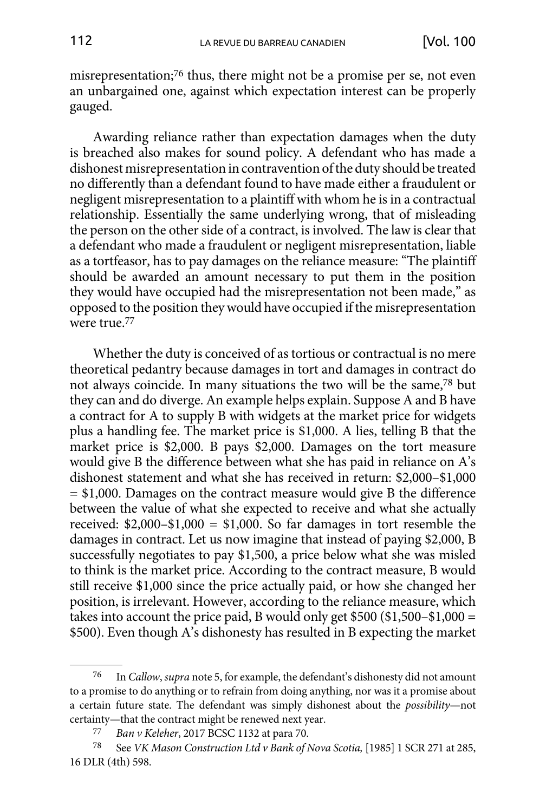misrepresentation;<sup>76</sup> thus, there might not be a promise per se, not even an unbargained one, against which expectation interest can be properly gauged.

Awarding reliance rather than expectation damages when the duty is breached also makes for sound policy. A defendant who has made a dishonest misrepresentation in contravention of the duty should be treated no differently than a defendant found to have made either a fraudulent or negligent misrepresentation to a plaintiff with whom he is in a contractual relationship. Essentially the same underlying wrong, that of misleading the person on the other side of a contract, is involved. The law is clear that a defendant who made a fraudulent or negligent misrepresentation, liable as a tortfeasor, has to pay damages on the reliance measure: "The plaintiff should be awarded an amount necessary to put them in the position they would have occupied had the misrepresentation not been made," as opposed to the position they would have occupied if the misrepresentation were true.77

Whether the duty is conceived of as tortious or contractual is no mere theoretical pedantry because damages in tort and damages in contract do not always coincide. In many situations the two will be the same,78 but they can and do diverge. An example helps explain. Suppose A and B have a contract for A to supply B with widgets at the market price for widgets plus a handling fee. The market price is \$1,000. A lies, telling B that the market price is \$2,000. B pays \$2,000. Damages on the tort measure would give B the difference between what she has paid in reliance on A's dishonest statement and what she has received in return: \$2,000–\$1,000 = \$1,000. Damages on the contract measure would give B the difference between the value of what she expected to receive and what she actually received: \$2,000–\$1,000 = \$1,000. So far damages in tort resemble the damages in contract. Let us now imagine that instead of paying \$2,000, B successfully negotiates to pay \$1,500, a price below what she was misled to think is the market price. According to the contract measure, B would still receive \$1,000 since the price actually paid, or how she changed her position, is irrelevant. However, according to the reliance measure, which takes into account the price paid, B would only get \$500 (\$1,500–\$1,000 = \$500). Even though A's dishonesty has resulted in B expecting the market

<sup>76</sup> In *Callow*, *supra* note 5, for example, the defendant's dishonesty did not amount to a promise to do anything or to refrain from doing anything, nor was it a promise about a certain future state. The defendant was simply dishonest about the *possibility*—not certainty—that the contract might be renewed next year. 77 *Ban v Keleher*, 2017 BCSC 1132 at para 70.

<sup>78</sup> See *VK Mason Construction Ltd v Bank of Nova Scotia,* [1985] 1 SCR 271 at 285, 16 DLR (4th) 598.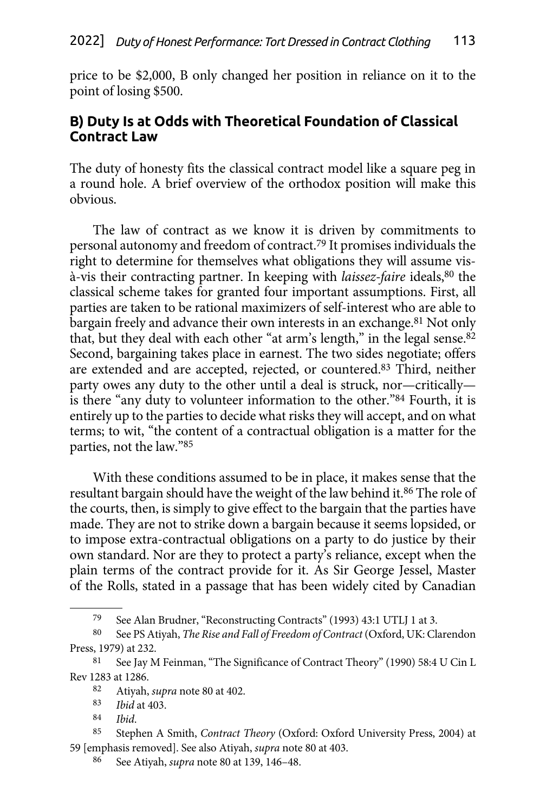<span id="page-18-0"></span>price to be \$2,000, B only changed her position in reliance on it to the point of losing \$500.

### **B) Duty Is at Odds with Theoretical Foundation of Classical Contract Law**

The duty of honesty fits the classical contract model like a square peg in a round hole. A brief overview of the orthodox position will make this obvious.

The law of contract as we know it is driven by commitments to personal autonomy and freedom of contract.79 It promises individuals the right to determine for themselves what obligations they will assume visà-vis their contracting partner. In keeping with *laissez-faire* ideals,80 the classical scheme takes for granted four important assumptions. First, all parties are taken to be rational maximizers of self-interest who are able to bargain freely and advance their own interests in an exchange.<sup>81</sup> Not only that, but they deal with each other "at arm's length," in the legal sense.<sup>82</sup> Second, bargaining takes place in earnest. The two sides negotiate; offers are extended and are accepted, rejected, or countered.83 Third, neither party owes any duty to the other until a deal is struck, nor—critically is there "any duty to volunteer information to the other."84 Fourth, it is entirely up to the parties to decide what risks they will accept, and on what terms; to wit, "the content of a contractual obligation is a matter for the parties, not the law."85

With these conditions assumed to be in place, it makes sense that the resultant bargain should have the weight of the law behind it.<sup>86</sup> The role of the courts, then, is simply to give effect to the bargain that the parties have made. They are not to strike down a bargain because it seems lopsided, or to impose extra-contractual obligations on a party to do justice by their own standard. Nor are they to protect a party's reliance, except when the plain terms of the contract provide for it. As Sir George Jessel, Master of the Rolls, stated in a passage that has been widely cited by Canadian

Ibid.

<sup>79</sup> See Alan Brudner, "Reconstructing Contracts" (1993) 43:1 UTLJ 1 at 3.

<sup>80</sup> See PS Atiyah, *The Rise and Fall of Freedom of Contract* (Oxford, UK: Clarendon Press, 1979) at 232.

<sup>81</sup> See Jay M Feinman, "The Significance of Contract Theory" (1990) 58:4 U Cin L Rev 1283 at 1286.

<sup>82</sup> Atiyah, *supra* note 80 at 402.

<sup>83</sup> *Ibid* at 403.

<sup>85</sup> Stephen A Smith, *Contract Theory* (Oxford: Oxford University Press, 2004) at 59 [emphasis removed]. See also Atiyah, *supra* note 80 at 403.

<sup>86</sup> See Atiyah, *supra* note 80 at 139, 146–48.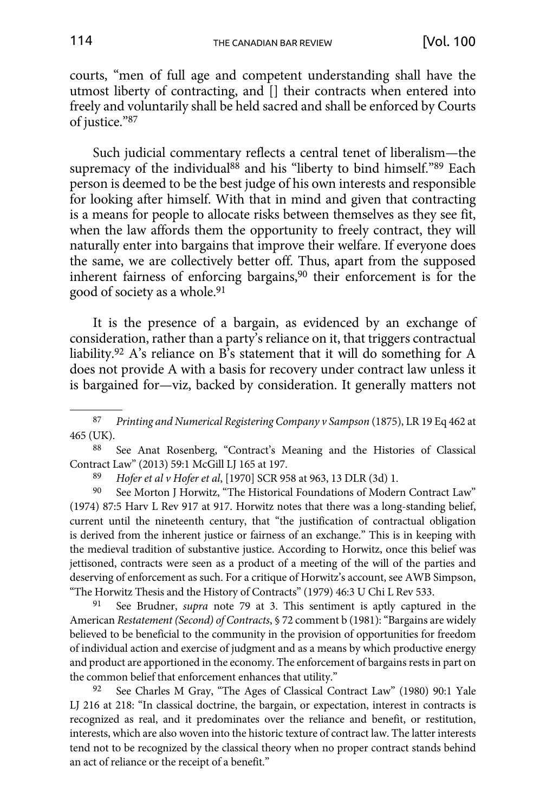courts, "men of full age and competent understanding shall have the utmost liberty of contracting, and [] their contracts when entered into freely and voluntarily shall be held sacred and shall be enforced by Courts of justice."87

Such judicial commentary reflects a central tenet of liberalism—the supremacy of the individual<sup>88</sup> and his "liberty to bind himself."89 Each person is deemed to be the best judge of his own interests and responsible for looking after himself. With that in mind and given that contracting is a means for people to allocate risks between themselves as they see fit, when the law affords them the opportunity to freely contract, they will naturally enter into bargains that improve their welfare. If everyone does the same, we are collectively better off. Thus, apart from the supposed inherent fairness of enforcing bargains,90 their enforcement is for the good of society as a whole.91

It is the presence of a bargain, as evidenced by an exchange of consideration, rather than a party's reliance on it, that triggers contractual liability.92 A's reliance on B's statement that it will do something for A does not provide A with a basis for recovery under contract law unless it is bargained for—viz, backed by consideration. It generally matters not

88 See Anat Rosenberg, "Contract's Meaning and the Histories of Classical Contract Law" (2013) 59:1 McGill LJ 165 at 197.

89 *Hofer et al v Hofer et al*, [1970] SCR 958 at 963, 13 DLR (3d) 1.

90 See Morton J Horwitz, "The Historical Foundations of Modern Contract Law" (1974) 87:5 Harv L Rev 917 at 917. Horwitz notes that there was a long-standing belief, current until the nineteenth century, that "the justification of contractual obligation is derived from the inherent justice or fairness of an exchange." This is in keeping with the medieval tradition of substantive justice. According to Horwitz, once this belief was jettisoned, contracts were seen as a product of a meeting of the will of the parties and deserving of enforcement as such. For a critique of Horwitz's account, see AWB Simpson, "The Horwitz Thesis and the History of Contracts" (1979) 46:3 U Chi L Rev 533.

91 See Brudner, *supra* note 79 at 3. This sentiment is aptly captured in the American *Restatement (Second) of Contracts*, § 72 comment b (1981): "Bargains are widely believed to be beneficial to the community in the provision of opportunities for freedom of individual action and exercise of judgment and as a means by which productive energy and product are apportioned in the economy. The enforcement of bargains rests in part on the common belief that enforcement enhances that utility."

92 See Charles M Gray, "The Ages of Classical Contract Law" (1980) 90:1 Yale LJ 216 at 218: "In classical doctrine, the bargain, or expectation, interest in contracts is recognized as real, and it predominates over the reliance and benefit, or restitution, interests, which are also woven into the historic texture of contract law. The latter interests tend not to be recognized by the classical theory when no proper contract stands behind an act of reliance or the receipt of a benefit."

<sup>87</sup> *Printing and Numerical Registering Company v Sampson* (1875), LR 19 Eq 462 at 465 (UK).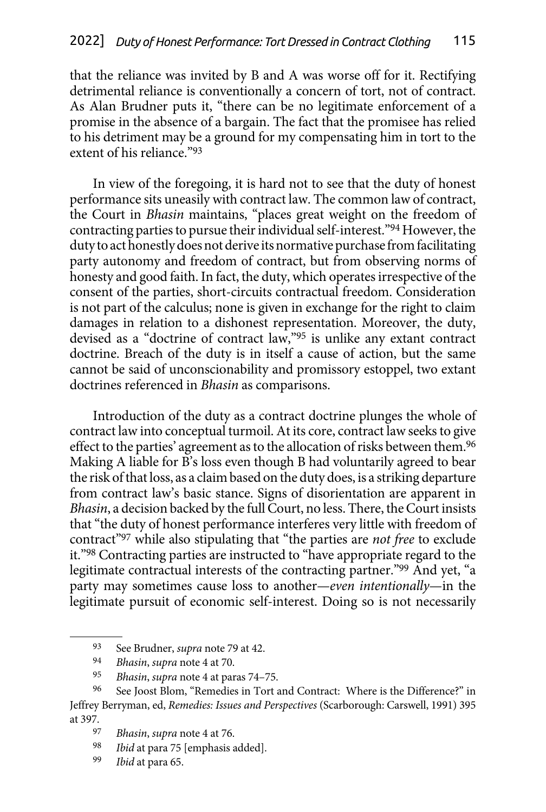that the reliance was invited by B and A was worse off for it. Rectifying detrimental reliance is conventionally a concern of tort, not of contract. As Alan Brudner puts it, "there can be no legitimate enforcement of a promise in the absence of a bargain. The fact that the promisee has relied to his detriment may be a ground for my compensating him in tort to the extent of his reliance."93

In view of the foregoing, it is hard not to see that the duty of honest performance sits uneasily with contract law. The common law of contract, the Court in *Bhasin* maintains, "places great weight on the freedom of contracting parties to pursue their individual self-interest."94 However, the duty to act honestly does not derive its normative purchase from facilitating party autonomy and freedom of contract, but from observing norms of honesty and good faith. In fact, the duty, which operates irrespective of the consent of the parties, short-circuits contractual freedom. Consideration is not part of the calculus; none is given in exchange for the right to claim damages in relation to a dishonest representation. Moreover, the duty, devised as a "doctrine of contract law,"95 is unlike any extant contract doctrine. Breach of the duty is in itself a cause of action, but the same cannot be said of unconscionability and promissory estoppel, two extant doctrines referenced in *Bhasin* as comparisons.

Introduction of the duty as a contract doctrine plunges the whole of contract law into conceptual turmoil. At its core, contract law seeks to give effect to the parties' agreement as to the allocation of risks between them.<sup>96</sup> Making A liable for B's loss even though B had voluntarily agreed to bear the risk of that loss, as a claim based on the duty does, is a striking departure from contract law's basic stance. Signs of disorientation are apparent in *Bhasin*, a decision backed by the full Court, no less. There, the Court insists that "the duty of honest performance interferes very little with freedom of contract"97 while also stipulating that "the parties are *not free* to exclude it."98 Contracting parties are instructed to "have appropriate regard to the legitimate contractual interests of the contracting partner."99 And yet, "a party may sometimes cause loss to another—*even intentionally*—in the legitimate pursuit of economic self-interest. Doing so is not necessarily

- Ibid at para 75 [emphasis added].
- 99 *Ibid* at para 65.

<sup>93</sup> See Brudner, *supra* note 79 at 42.

<sup>94</sup> *Bhasin*, *supra* note 4 at 70.

<sup>95</sup> *Bhasin*, *supra* note 4 at paras 74–75.

<sup>96</sup> See Joost Blom, "Remedies in Tort and Contract: Where is the Difference?" in Jeffrey Berryman, ed, *Remedies: Issues and Perspectives* (Scarborough: Carswell, 1991) 395 at 397.

<sup>97</sup> *Bhasin*, *supra* note 4 at 76.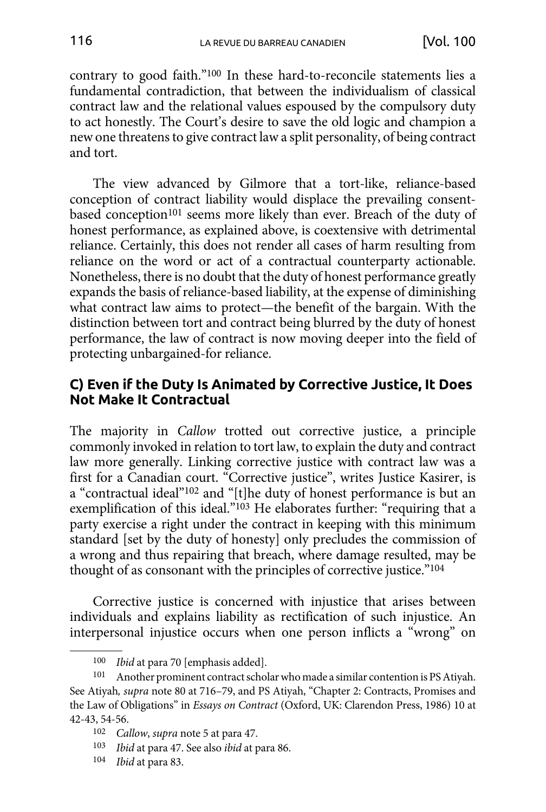<span id="page-21-0"></span>contrary to good faith."100 In these hard-to-reconcile statements lies a fundamental contradiction, that between the individualism of classical contract law and the relational values espoused by the compulsory duty to act honestly. The Court's desire to save the old logic and champion a new one threatens to give contract law a split personality, of being contract and tort.

The view advanced by Gilmore that a tort-like, reliance-based conception of contract liability would displace the prevailing consentbased conception<sup>101</sup> seems more likely than ever. Breach of the duty of honest performance, as explained above, is coextensive with detrimental reliance. Certainly, this does not render all cases of harm resulting from reliance on the word or act of a contractual counterparty actionable. Nonetheless, there is no doubt that the duty of honest performance greatly expands the basis of reliance-based liability, at the expense of diminishing what contract law aims to protect—the benefit of the bargain. With the distinction between tort and contract being blurred by the duty of honest performance, the law of contract is now moving deeper into the field of protecting unbargained-for reliance.

### **C) Even if the Duty Is Animated by Corrective Justice, It Does Not Make It Contractual**

The majority in *Callow* trotted out corrective justice, a principle commonly invoked in relation to tort law, to explain the duty and contract law more generally. Linking corrective justice with contract law was a first for a Canadian court. "Corrective justice", writes Justice Kasirer, is a "contractual ideal"102 and "[t]he duty of honest performance is but an exemplification of this ideal."103 He elaborates further: "requiring that a party exercise a right under the contract in keeping with this minimum standard [set by the duty of honesty] only precludes the commission of a wrong and thus repairing that breach, where damage resulted, may be thought of as consonant with the principles of corrective justice."104

Corrective justice is concerned with injustice that arises between individuals and explains liability as rectification of such injustice. An interpersonal injustice occurs when one person inflicts a "wrong" on

- 103 *Ibid* at para 47. See also *ibid* at para 86.
- 104 *Ibid* at para 83.

<sup>100</sup> *Ibid* at para 70 [emphasis added].

<sup>101</sup> Another prominent contract scholar who made a similar contention is PS Atiyah. See Atiyah*, supra* note 80 at 716–79, and PS Atiyah, "Chapter 2: Contracts, Promises and the Law of Obligations" in *Essays on Contract* (Oxford, UK: Clarendon Press, 1986) 10 at 42-43, 54-56.

<sup>102</sup> *Callow*, *supra* note 5 at para 47.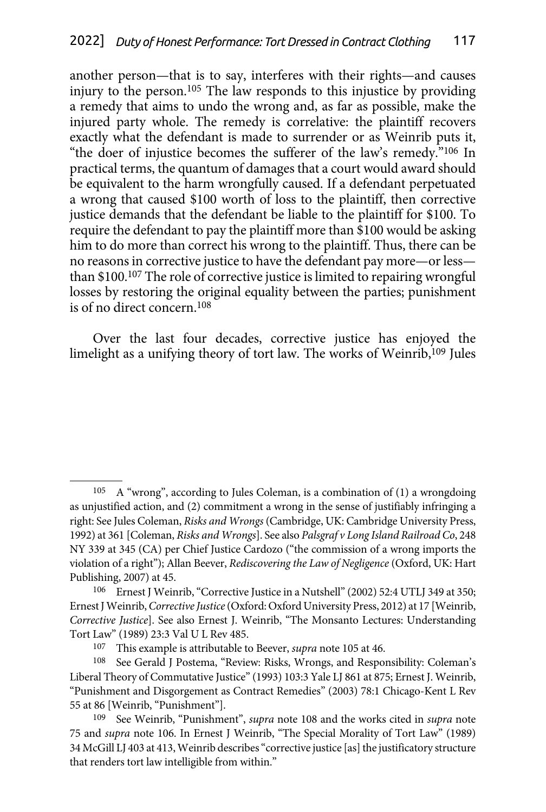another person—that is to say, interferes with their rights—and causes injury to the person.105 The law responds to this injustice by providing a remedy that aims to undo the wrong and, as far as possible, make the injured party whole. The remedy is correlative: the plaintiff recovers exactly what the defendant is made to surrender or as Weinrib puts it, "the doer of injustice becomes the sufferer of the law's remedy."106 In practical terms, the quantum of damages that a court would award should be equivalent to the harm wrongfully caused. If a defendant perpetuated a wrong that caused \$100 worth of loss to the plaintiff, then corrective justice demands that the defendant be liable to the plaintiff for \$100. To require the defendant to pay the plaintiff more than \$100 would be asking him to do more than correct his wrong to the plaintiff. Thus, there can be no reasons in corrective justice to have the defendant pay more—or less than \$100.107 The role of corrective justice is limited to repairing wrongful losses by restoring the original equality between the parties; punishment is of no direct concern.108

Over the last four decades, corrective justice has enjoyed the limelight as a unifying theory of tort law. The works of Weinrib,109 Jules

 $105$  A "wrong", according to Jules Coleman, is a combination of (1) a wrongdoing as unjustified action, and (2) commitment a wrong in the sense of justifiably infringing a right: See Jules Coleman, *Risks and Wrongs* (Cambridge, UK: Cambridge University Press, 1992) at 361 [Coleman, *Risks and Wrongs*]. See also *Palsgraf v Long Island Railroad Co*, 248 NY 339 at 345 (CA) per Chief Justice Cardozo ("the commission of a wrong imports the violation of a right"); Allan Beever, *Rediscovering the Law of Negligence* (Oxford, UK: Hart Publishing, 2007) at 45.<br><sup>106</sup> Ernest I Wein

Ernest J Weinrib, "Corrective Justice in a Nutshell" (2002) 52:4 UTLJ 349 at 350; Ernest J Weinrib, *Corrective Justice* (Oxford: Oxford University Press, 2012) at 17 [Weinrib, *Corrective Justice*]. See also Ernest J. Weinrib, "The Monsanto Lectures: Understanding Tort Law" (1989) 23:3 Val U L Rev 485.

<sup>107</sup> This example is attributable to Beever, *supra* note 105 at 46.

<sup>108</sup> See Gerald J Postema, "Review: Risks, Wrongs, and Responsibility: Coleman's Liberal Theory of Commutative Justice" (1993) 103:3 Yale LJ 861 at 875; Ernest J. Weinrib, "Punishment and Disgorgement as Contract Remedies" (2003) 78:1 Chicago-Kent L Rev 55 at 86 [Weinrib, "Punishment"].

<sup>109</sup> See Weinrib, "Punishment", *supra* note 108 and the works cited in *supra* note 75 and *supra* note 106. In Ernest J Weinrib, "The Special Morality of Tort Law" (1989) 34 McGill LJ 403 at 413, Weinrib describes "corrective justice [as] the justificatory structure that renders tort law intelligible from within."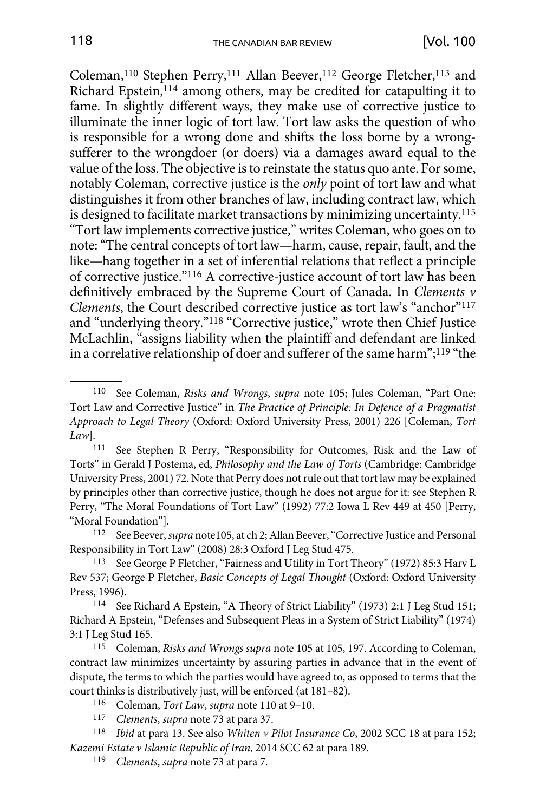Coleman,<sup>110</sup> Stephen Perry,<sup>111</sup> Allan Beever,<sup>112</sup> George Fletcher,<sup>113</sup> and Richard Epstein,<sup>114</sup> among others, may be credited for catapulting it to fame. In slightly different ways, they make use of corrective justice to illuminate the inner logic of tort law. Tort law asks the question of who is responsible for a wrong done and shifts the loss borne by a wrongsufferer to the wrongdoer (or doers) via a damages award equal to the value of the loss. The objective is to reinstate the status quo ante. For some, notably Coleman, corrective justice is the *only* point of tort law and what distinguishes it from other branches of law, including contract law, which is designed to facilitate market transactions by minimizing uncertainty.115 "Tort law implements corrective justice," writes Coleman, who goes on to note: "The central concepts of tort law—harm, cause, repair, fault, and the like—hang together in a set of inferential relations that reflect a principle of corrective justice."116 A corrective-justice account of tort law has been definitively embraced by the Supreme Court of Canada. In *Clements v Clements*, the Court described corrective justice as tort law's "anchor"117 and "underlying theory."118 "Corrective justice," wrote then Chief Justice McLachlin, "assigns liability when the plaintiff and defendant are linked in a correlative relationship of doer and sufferer of the same harm";119 "the

112 See Beever, *supra* note105, at ch 2; Allan Beever, "Corrective Justice and Personal Responsibility in Tort Law" (2008) 28:3 Oxford J Leg Stud 475.

113 See George P Fletcher, "Fairness and Utility in Tort Theory" (1972) 85:3 Harv L Rev 537; George P Fletcher, *Basic Concepts of Legal Thought* (Oxford: Oxford University Press, 1996).

114 See Richard A Epstein, "A Theory of Strict Liability" (1973) 2:1 J Leg Stud 151; Richard A Epstein, "Defenses and Subsequent Pleas in a System of Strict Liability" (1974) 3:1 J Leg Stud 165.

115 Coleman, *Risks and Wrongs supra* note 105 at 105, 197. According to Coleman, contract law minimizes uncertainty by assuring parties in advance that in the event of dispute, the terms to which the parties would have agreed to, as opposed to terms that the court thinks is distributively just, will be enforced (at 181–82).

116 Coleman, *Tort Law*, *supra* note 110 at 9–10.

119 *Clements*, *supra* note 73 at para 7.

<sup>110</sup> See Coleman, *Risks and Wrongs*, *supra* note 105; Jules Coleman, "Part One: Tort Law and Corrective Justice" in *The Practice of Principle: In Defence of a Pragmatist Approach to Legal Theory* (Oxford: Oxford University Press, 2001) 226 [Coleman, *Tort Law*].

<sup>111</sup> See Stephen R Perry, "Responsibility for Outcomes, Risk and the Law of Torts" in Gerald J Postema, ed, *Philosophy and the Law of Torts* (Cambridge: Cambridge University Press, 2001) 72. Note that Perry does not rule out that tort law may be explained by principles other than corrective justice, though he does not argue for it: see Stephen R Perry, "The Moral Foundations of Tort Law" (1992) 77:2 Iowa L Rev 449 at 450 [Perry, "Moral Foundation"].

<sup>117</sup> *Clements*, *supra* note 73 at para 37.

<sup>118</sup> *Ibid* at para 13. See also *Whiten v Pilot Insurance Co*, 2002 SCC 18 at para 152; *Kazemi Estate v Islamic Republic of Iran*, 2014 SCC 62 at para 189.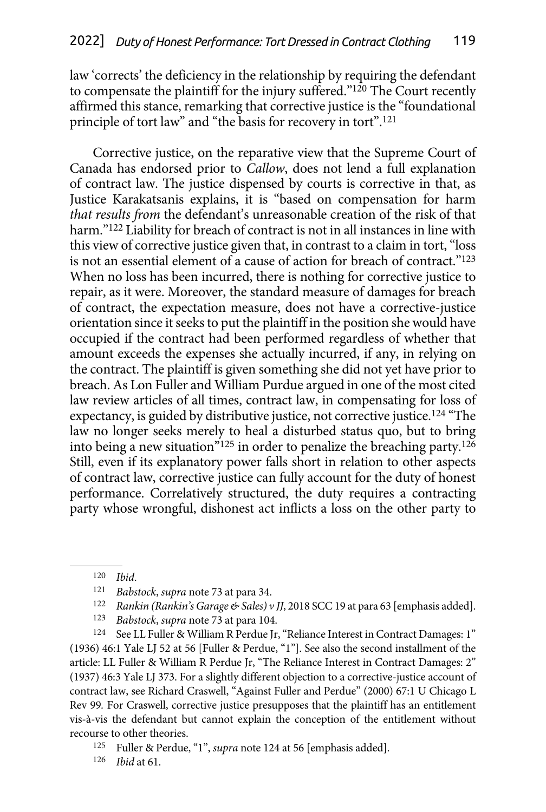law 'corrects' the deficiency in the relationship by requiring the defendant to compensate the plaintiff for the injury suffered."<sup>120</sup> The Court recently affirmed this stance, remarking that corrective justice is the "foundational principle of tort law" and "the basis for recovery in tort".121

Corrective justice, on the reparative view that the Supreme Court of Canada has endorsed prior to *Callow*, does not lend a full explanation of contract law. The justice dispensed by courts is corrective in that, as Justice Karakatsanis explains, it is "based on compensation for harm *that results from* the defendant's unreasonable creation of the risk of that harm."<sup>122</sup> Liability for breach of contract is not in all instances in line with this view of corrective justice given that, in contrast to a claim in tort, "loss is not an essential element of a cause of action for breach of contract."123 When no loss has been incurred, there is nothing for corrective justice to repair, as it were. Moreover, the standard measure of damages for breach of contract, the expectation measure, does not have a corrective-justice orientation since it seeks to put the plaintiff in the position she would have occupied if the contract had been performed regardless of whether that amount exceeds the expenses she actually incurred, if any, in relying on the contract. The plaintiff is given something she did not yet have prior to breach. As Lon Fuller and William Purdue argued in one of the most cited law review articles of all times, contract law, in compensating for loss of expectancy, is guided by distributive justice, not corrective justice.124 "The law no longer seeks merely to heal a disturbed status quo, but to bring into being a new situation<sup>"125</sup> in order to penalize the breaching party.<sup>126</sup> Still, even if its explanatory power falls short in relation to other aspects of contract law, corrective justice can fully account for the duty of honest performance. Correlatively structured, the duty requires a contracting party whose wrongful, dishonest act inflicts a loss on the other party to

<sup>124</sup> See LL Fuller & William R Perdue Jr, "Reliance Interest in Contract Damages: 1" (1936) 46:1 Yale LJ 52 at 56 [Fuller & Perdue, "1"]. See also the second installment of the article: LL Fuller & William R Perdue Jr, "The Reliance Interest in Contract Damages: 2" (1937) 46:3 Yale LJ 373. For a slightly different objection to a corrective-justice account of contract law, see Richard Craswell, "Against Fuller and Perdue" (2000) 67:1 U Chicago L Rev 99*.* For Craswell, corrective justice presupposes that the plaintiff has an entitlement vis-à-vis the defendant but cannot explain the conception of the entitlement without recourse to other theories.

<sup>120</sup> *Ibid*.

<sup>121</sup> *Babstock, supra* note 73 at para 34.<br>122 *Rankin (Rankin's Garage & Sales) v JJ*, 2018 SCC 19 at para 63 [emphasis added].<br><sup>123</sup> *Babstock, supra* note 73 at para 104.

<sup>125</sup> Fuller & Perdue, "1", *supra* note 124 at 56 [emphasis added].

<sup>126</sup> *Ibid* at 61.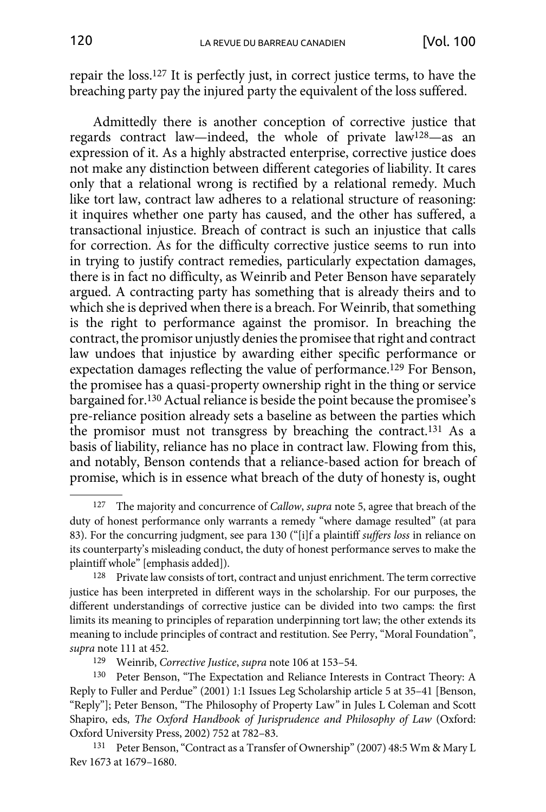repair the loss.127 It is perfectly just, in correct justice terms, to have the breaching party pay the injured party the equivalent of the loss suffered.

Admittedly there is another conception of corrective justice that regards contract law—indeed, the whole of private law128—as an expression of it. As a highly abstracted enterprise, corrective justice does not make any distinction between different categories of liability. It cares only that a relational wrong is rectified by a relational remedy. Much like tort law, contract law adheres to a relational structure of reasoning: it inquires whether one party has caused, and the other has suffered, a transactional injustice. Breach of contract is such an injustice that calls for correction. As for the difficulty corrective justice seems to run into in trying to justify contract remedies, particularly expectation damages, there is in fact no difficulty, as Weinrib and Peter Benson have separately argued. A contracting party has something that is already theirs and to which she is deprived when there is a breach. For Weinrib, that something is the right to performance against the promisor. In breaching the contract, the promisor unjustly denies the promisee that right and contract law undoes that injustice by awarding either specific performance or expectation damages reflecting the value of performance.129 For Benson, the promisee has a quasi-property ownership right in the thing or service bargained for.130 Actual reliance is beside the point because the promisee's pre-reliance position already sets a baseline as between the parties which the promisor must not transgress by breaching the contract.131 As a basis of liability, reliance has no place in contract law. Flowing from this, and notably, Benson contends that a reliance-based action for breach of promise, which is in essence what breach of the duty of honesty is, ought

<sup>127</sup> The majority and concurrence of *Callow*, *supra* note 5, agree that breach of the duty of honest performance only warrants a remedy "where damage resulted" (at para 83). For the concurring judgment, see para 130 ("[i]f a plaintiff *suffers loss* in reliance on its counterparty's misleading conduct, the duty of honest performance serves to make the plaintiff whole" [emphasis added]).

<sup>&</sup>lt;sup>128</sup> Private law consists of tort, contract and unjust enrichment. The term corrective justice has been interpreted in different ways in the scholarship. For our purposes, the different understandings of corrective justice can be divided into two camps: the first limits its meaning to principles of reparation underpinning tort law; the other extends its meaning to include principles of contract and restitution. See Perry, "Moral Foundation", *supra* note 111 at 452.

<sup>129</sup> Weinrib, *Corrective Justice*, *supra* note 106 at 153–54.

<sup>130</sup> Peter Benson, "The Expectation and Reliance Interests in Contract Theory: A Reply to Fuller and Perdue" (2001) 1:1 Issues Leg Scholarship article 5 at 35–41 [Benson, "Reply"]; Peter Benson, "The Philosophy of Property Law*"* in Jules L Coleman and Scott Shapiro, eds, *The Oxford Handbook of Jurisprudence and Philosophy of Law* (Oxford: Oxford University Press, 2002) 752 at 782–83.

<sup>131</sup> Peter Benson, "Contract as a Transfer of Ownership" (2007) 48:5 Wm & Mary L Rev 1673 at 1679–1680.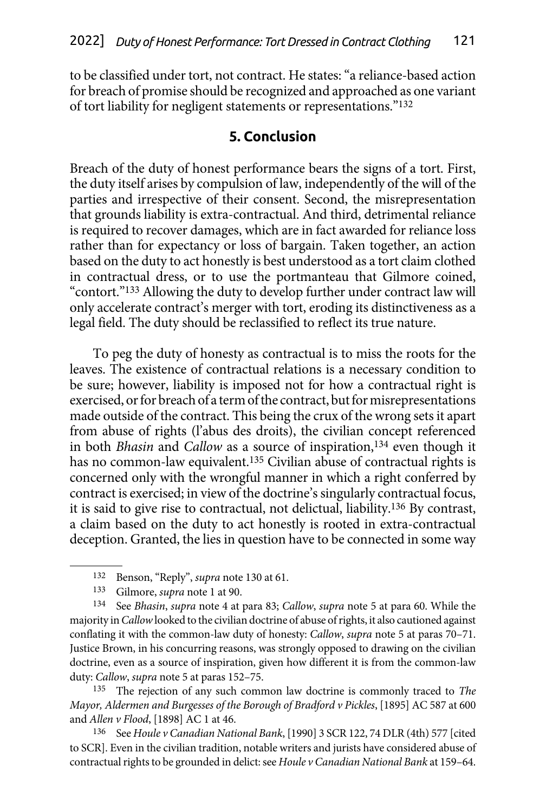<span id="page-26-0"></span>to be classified under tort, not contract. He states: "a reliance-based action for breach of promise should be recognized and approached as one variant of tort liability for negligent statements or representations."132

### **5. Conclusion**

Breach of the duty of honest performance bears the signs of a tort. First, the duty itself arises by compulsion of law, independently of the will of the parties and irrespective of their consent. Second, the misrepresentation that grounds liability is extra-contractual. And third, detrimental reliance is required to recover damages, which are in fact awarded for reliance loss rather than for expectancy or loss of bargain. Taken together, an action based on the duty to act honestly is best understood as a tort claim clothed in contractual dress, or to use the portmanteau that Gilmore coined, "contort."133 Allowing the duty to develop further under contract law will only accelerate contract's merger with tort, eroding its distinctiveness as a legal field. The duty should be reclassified to reflect its true nature.

To peg the duty of honesty as contractual is to miss the roots for the leaves. The existence of contractual relations is a necessary condition to be sure; however, liability is imposed not for how a contractual right is exercised, or for breach of a term of the contract, but for misrepresentations made outside of the contract. This being the crux of the wrong sets it apart from abuse of rights (l'abus des droits), the civilian concept referenced in both *Bhasin* and *Callow* as a source of inspiration,134 even though it has no common-law equivalent.135 Civilian abuse of contractual rights is concerned only with the wrongful manner in which a right conferred by contract is exercised; in view of the doctrine's singularly contractual focus, it is said to give rise to contractual, not delictual, liability.136 By contrast, a claim based on the duty to act honestly is rooted in extra-contractual deception. Granted, the lies in question have to be connected in some way

134 See *Bhasin*, *supra* note 4 at para 83; *Callow*, *supra* note 5 at para 60. While the majority in *Callow* looked to the civilian doctrine of abuse of rights, it also cautioned against conflating it with the common-law duty of honesty: *Callow*, *supra* note 5 at paras 70–71. Justice Brown, in his concurring reasons, was strongly opposed to drawing on the civilian doctrine, even as a source of inspiration, given how different it is from the common-law duty: *Callow*, *supra* note 5 at paras 152–75.

135 The rejection of any such common law doctrine is commonly traced to *The Mayor, Aldermen and Burgesses of the Borough of Bradford v Pickles*, [1895] AC 587 at 600 and *Allen v Flood*, [1898] AC 1 at 46.

136 See *Houle v Canadian National Bank*, [1990] 3 SCR 122, 74 DLR (4th) 577 [cited to SCR]. Even in the civilian tradition, notable writers and jurists have considered abuse of contractual rights to be grounded in delict: see *Houle v Canadian National Bank* at 159–64.

<sup>132</sup> Benson, "Reply", *supra* note 130 at 61.

<sup>133</sup> Gilmore, *supra* note 1 at 90.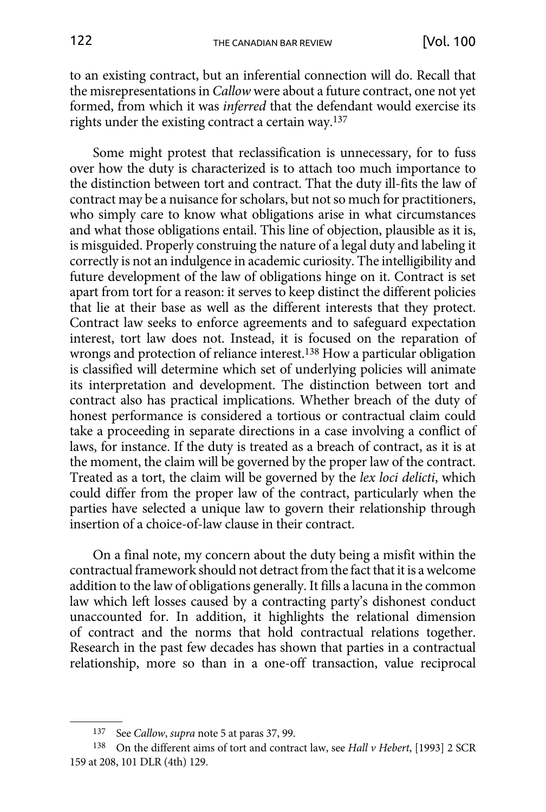to an existing contract, but an inferential connection will do. Recall that the misrepresentations in *Callow* were about a future contract, one not yet formed, from which it was *inferred* that the defendant would exercise its rights under the existing contract a certain way.137

Some might protest that reclassification is unnecessary, for to fuss over how the duty is characterized is to attach too much importance to the distinction between tort and contract. That the duty ill-fits the law of contract may be a nuisance for scholars, but not so much for practitioners, who simply care to know what obligations arise in what circumstances and what those obligations entail. This line of objection, plausible as it is, is misguided. Properly construing the nature of a legal duty and labeling it correctly is not an indulgence in academic curiosity. The intelligibility and future development of the law of obligations hinge on it. Contract is set apart from tort for a reason: it serves to keep distinct the different policies that lie at their base as well as the different interests that they protect. Contract law seeks to enforce agreements and to safeguard expectation interest, tort law does not. Instead, it is focused on the reparation of wrongs and protection of reliance interest.138 How a particular obligation is classified will determine which set of underlying policies will animate its interpretation and development. The distinction between tort and contract also has practical implications. Whether breach of the duty of honest performance is considered a tortious or contractual claim could take a proceeding in separate directions in a case involving a conflict of laws, for instance. If the duty is treated as a breach of contract, as it is at the moment, the claim will be governed by the proper law of the contract. Treated as a tort, the claim will be governed by the *lex loci delicti*, which could differ from the proper law of the contract, particularly when the parties have selected a unique law to govern their relationship through insertion of a choice-of-law clause in their contract.

On a final note, my concern about the duty being a misfit within the contractual framework should not detract from the fact that it is a welcome addition to the law of obligations generally. It fills a lacuna in the common law which left losses caused by a contracting party's dishonest conduct unaccounted for. In addition, it highlights the relational dimension of contract and the norms that hold contractual relations together. Research in the past few decades has shown that parties in a contractual relationship, more so than in a one-off transaction, value reciprocal

<sup>137</sup> See *Callow*, *supra* note 5 at paras 37, 99.

<sup>138</sup> On the different aims of tort and contract law, see *Hall v Hebert*, [1993] 2 SCR 159 at 208, 101 DLR (4th) 129.